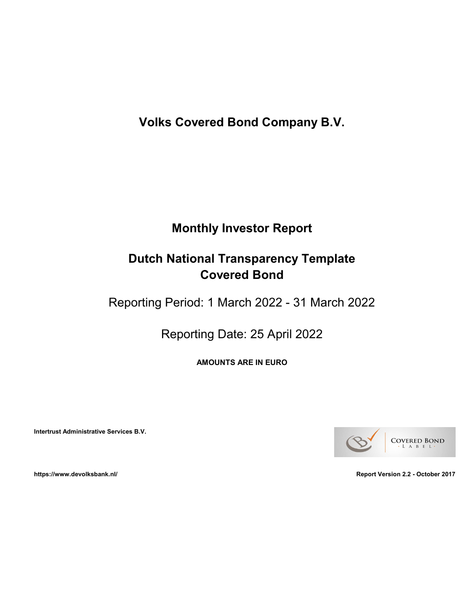Volks Covered Bond Company B.V.

# Monthly Investor Report

# Dutch National Transparency Template Covered Bond

Reporting Period: 1 March 2022 - 31 March 2022

Reporting Date: 25 April 2022

AMOUNTS ARE IN EURO

Intertrust Administrative Services B.V.



https://www.devolksbank.nl/ Report Version 2.2 - October 2017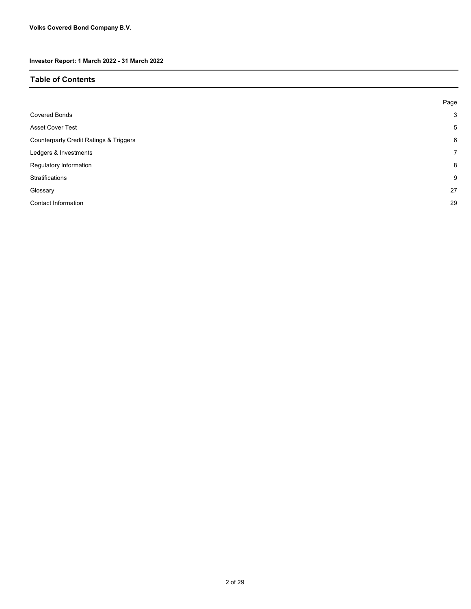#### Table of Contents

|                                        | Page |
|----------------------------------------|------|
| <b>Covered Bonds</b>                   | 3    |
| <b>Asset Cover Test</b>                | 5    |
| Counterparty Credit Ratings & Triggers | 6    |
| Ledgers & Investments                  | 7    |
| Regulatory Information                 | 8    |
| Stratifications                        | 9    |
| Glossary                               | 27   |
| <b>Contact Information</b>             | 29   |
|                                        |      |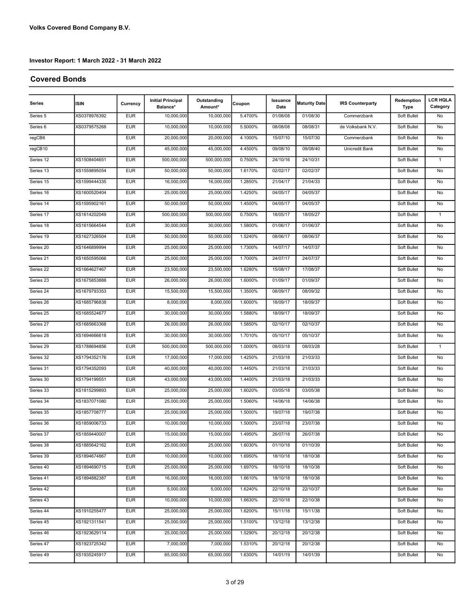#### Covered Bonds

| <b>Series</b>       | <b>ISIN</b>  | Currency   | <b>Initial Principal</b><br>Balance* | Outstanding<br>Amount* | Coupon  | Issuance<br>Date | <b>Maturity Date</b> | <b>IRS Counterparty</b> | Redemption<br>Type | <b>LCR HQLA</b><br>Category |
|---------------------|--------------|------------|--------------------------------------|------------------------|---------|------------------|----------------------|-------------------------|--------------------|-----------------------------|
| Series 5            | XS0378976392 | <b>EUR</b> | 10,000,000                           | 10,000,000             | 5.4700% | 01/08/08         | 01/08/30             | Commerzbank             | Soft Bullet        | No                          |
| Series <sub>6</sub> | XS0379575268 | <b>EUR</b> | 10,000,000                           | 10,000,000             | 5.5000% | 08/08/08         | 08/08/31             | de Volksbank N.V.       | Soft Bullet        | No                          |
| regCB6              |              | <b>EUR</b> | 20,000,000                           | 20,000,000             | 4.1000% | 15/07/10         | 15/07/30             | Commerzbank             | Soft Bullet        | No                          |
| regCB10             |              | <b>EUR</b> | 45,000,000                           | 45,000,000             | 4.4500% | 09/08/10         | 09/08/40             | Unicredit Bank          | Soft Bullet        | No                          |
| Series 12           | XS1508404651 | <b>EUR</b> | 500,000,000                          | 500,000,000            | 0.7500% | 24/10/16         | 24/10/31             |                         | Soft Bullet        | $\mathbf{1}$                |
| Series 13           | XS1559895054 | <b>EUR</b> | 50,000,000                           | 50,000,000             | 1.6170% | 02/02/17         | 02/02/37             |                         | Soft Bullet        | No                          |
| Series 15           | XS1599444335 | <b>EUR</b> | 16,000,000                           | 16,000,000             | 1.2850% | 21/04/17         | 21/04/33             |                         | Soft Bullet        | No                          |
| Series 16           | XS1600520404 | <b>EUR</b> | 25,000,000                           | 25,000,000             | 1.4250% | 04/05/17         | 04/05/37             |                         | Soft Bullet        | No                          |
| Series 14           | XS1595902161 | <b>EUR</b> | 50,000,000                           | 50,000,000             | 1.4500% | 04/05/17         | 04/05/37             |                         | Soft Bullet        | No                          |
| Series 17           | XS1614202049 | <b>EUR</b> | 500,000,000                          | 500,000,000            | 0.7500% | 18/05/17         | 18/05/27             |                         | Soft Bullet        | $\mathbf{1}$                |
| Series 18           | XS1615664544 | <b>EUR</b> | 30,000,000                           | 30,000,000             | 1.5800% | 01/06/17         | 01/06/37             |                         | Soft Bullet        | No                          |
| Series 19           | XS1627326504 | <b>EUR</b> | 50,000,000                           | 50,000,000             | 1.5240% | 08/06/17         | 08/06/37             |                         | Soft Bullet        | No                          |
| Series 20           | XS1646899994 | <b>EUR</b> | 25,000,000                           | 25,000,000             | 1.7300% | 14/07/17         | 14/07/37             |                         | Soft Bullet        | No                          |
| Series 21           | XS1650595066 | <b>EUR</b> | 25,000,000                           | 25,000,000             | 1.7000% | 24/07/17         | 24/07/37             |                         | Soft Bullet        | No                          |
| Series 22           | XS1664627467 | <b>EUR</b> | 23,500,000                           | 23,500,000             | 1.6280% | 15/08/17         | 17/08/37             |                         | Soft Bullet        | No                          |
| Series 23           | XS1675853888 | <b>EUR</b> | 26,000,000                           | 26,000,000             | 1.6000% | 01/09/17         | 01/09/37             |                         | Soft Bullet        | No                          |
| Series 24           | XS1679793353 | <b>EUR</b> | 15,500,000                           | 15,500,000             | 1.3500% | 08/09/17         | 08/09/32             |                         | Soft Bullet        | No                          |
| Series 26           | XS1685796838 | <b>EUR</b> | 8,000,000                            | 8,000,000              | 1.6000% | 18/09/17         | 18/09/37             |                         | Soft Bullet        | No                          |
| Series 25           | XS1685524677 | <b>EUR</b> | 30,000,000                           | 30,000,000             | 1.5880% | 18/09/17         | 18/09/37             |                         | Soft Bullet        | No                          |
| Series 27           | XS1685663368 | <b>EUR</b> | 26,000,000                           | 26,000,000             | 1.5850% | 02/10/17         | 02/10/37             |                         | Soft Bullet        | No                          |
| Series 28           | XS1694666618 | <b>EUR</b> | 30,000,000                           | 30,000,000             | 1.7010% | 05/10/17         | 05/10/37             |                         | Soft Bullet        | No                          |
| Series 29           | XS1788694856 | <b>EUR</b> | 500,000,000                          | 500,000,000            | 1.0000% | 08/03/18         | 08/03/28             |                         | Soft Bullet        | $\mathbf{1}$                |
| Series 32           | XS1794352176 | <b>EUR</b> | 17,000,000                           | 17,000,000             | 1.4250% | 21/03/18         | 21/03/33             |                         | Soft Bullet        | <b>No</b>                   |
| Series 31           | XS1794352093 | <b>EUR</b> | 40,000,000                           | 40,000,000             | 1.4450% | 21/03/18         | 21/03/33             |                         | Soft Bullet        | No                          |
| Series 30           | XS1794199551 | <b>EUR</b> | 43,000,000                           | 43,000,000             | 1.4400% | 21/03/18         | 21/03/33             |                         | Soft Bullet        | No                          |
| Series 33           | XS1815299893 | <b>EUR</b> | 25,000,000                           | 25,000,000             | 1.6020% | 03/05/18         | 03/05/38             |                         | Soft Bullet        | No                          |
| Series 34           | XS1837071080 | <b>EUR</b> | 25,000,000                           | 25,000,000             | 1.5060% | 14/06/18         | 14/06/38             |                         | Soft Bullet        | No                          |
| Series 35           | XS1857708777 | <b>EUR</b> | 25,000,000                           | 25,000,000             | 1.5000% | 19/07/18         | 19/07/38             |                         | Soft Bullet        | No                          |
| Series 36           | XS1859006733 | <b>EUR</b> | 10,000,000                           | 10,000,000             | 1.5000% | 23/07/18         | 23/07/38             |                         | Soft Bullet        | No                          |
| Series 37           | XS1859440007 | <b>EUR</b> | 15,000,000                           | 15,000,000             | 1.4950% | 26/07/18         | 26/07/38             |                         | Soft Bullet        | No                          |
| Series 38           | XS1885642162 | <b>EUR</b> | 25,000,000                           | 25,000,000             | 1.6030% | 01/10/18         | 01/10/39             |                         | Soft Bullet        | No                          |
| Series 39           | XS1894674867 | <b>EUR</b> | 10,000,000                           | 10,000,000             | 1.6950% | 18/10/18         | 18/10/38             |                         | Soft Bullet        | No                          |
| Series 40           | XS1894690715 | <b>EUR</b> | 25,000,000                           | 25,000,000             | 1.6970% | 18/10/18         | 18/10/38             |                         | Soft Bullet        | No                          |
| Series 41           | XS1894882387 | <b>EUR</b> | 16,000,000                           | 16,000,000             | 1.6610% | 18/10/18         | 18/10/38             |                         | Soft Bullet        | No                          |
| Series 42           |              | <b>EUR</b> | 5,000,000                            | 5,000,000              | 1.6240% | 22/10/18         | 22/10/37             |                         | Soft Bullet        | No                          |
| Series 43           |              | <b>EUR</b> | 10,000,000                           | 10,000,000             | 1.6630% | 22/10/18         | 22/10/38             |                         | Soft Bullet        | No                          |
| Series 44           | XS1910255477 | <b>EUR</b> | 25,000,000                           | 25,000,000             | 1.6200% | 15/11/18         | 15/11/38             |                         | Soft Bullet        | No                          |
| Series 45           | XS1921311541 | <b>EUR</b> | 25,000,000                           | 25,000,000             | 1.5100% | 13/12/18         | 13/12/38             |                         | Soft Bullet        | No                          |
| Series 46           | XS1923629114 | <b>EUR</b> | 25,000,000                           | 25,000,000             | 1.5290% | 20/12/18         | 20/12/38             |                         | Soft Bullet        | No                          |
| Series 47           | XS1923725342 | <b>EUR</b> | 7,000,000                            | 7,000,000              | 1.5310% | 20/12/18         | 20/12/38             |                         | Soft Bullet        | No                          |
| Series 49           | XS1935245917 | <b>EUR</b> | 65,000,000                           | 65,000,000             | 1.6300% | 14/01/19         | 14/01/39             |                         | Soft Bullet        | No                          |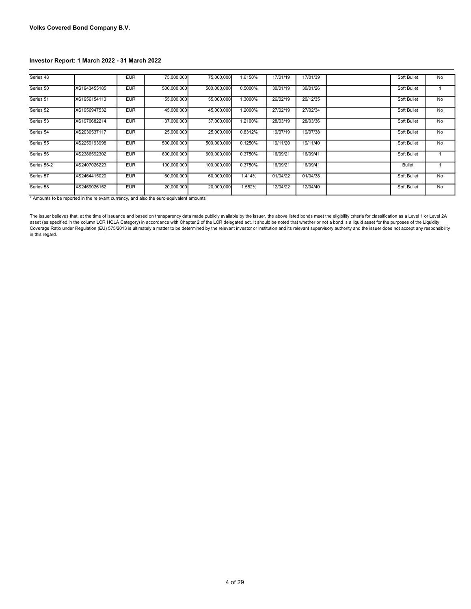| Series 48   |              | <b>EUR</b> | 75,000,000  | 75,000,000  | 1.6150% | 17/01/19 | 17/01/39 | Soft Bullet   | No        |
|-------------|--------------|------------|-------------|-------------|---------|----------|----------|---------------|-----------|
| Series 50   | XS1943455185 | <b>EUR</b> | 500,000,000 | 500,000,000 | 0.5000% | 30/01/19 | 30/01/26 | Soft Bullet   |           |
| Series 51   | XS1956154113 | <b>EUR</b> | 55,000,000  | 55,000,000  | 1.3000% | 26/02/19 | 20/12/35 | Soft Bullet   | No        |
| Series 52   | XS1956947532 | <b>EUR</b> | 45,000,000  | 45,000,000  | 1.2000% | 27/02/19 | 27/02/34 | Soft Bullet   | <b>No</b> |
| Series 53   | XS1970682214 | <b>EUR</b> | 37,000,000  | 37,000,000  | 1.2100% | 28/03/19 | 28/03/36 | Soft Bullet   | <b>No</b> |
| Series 54   | XS2030537117 | <b>EUR</b> | 25,000,000  | 25,000,000  | 0.8312% | 19/07/19 | 19/07/38 | Soft Bullet   | No        |
| Series 55   | XS2259193998 | <b>EUR</b> | 500,000,000 | 500.000.000 | 0.1250% | 19/11/20 | 19/11/40 | Soft Bullet   | <b>No</b> |
| Series 56   | XS2386592302 | <b>EUR</b> | 600.000.000 | 600,000,000 | 0.3750% | 16/09/21 | 16/09/41 | Soft Bullet   |           |
| Series 56-2 | XS2407026223 | <b>EUR</b> | 100,000,000 | 100,000,000 | 0.3750% | 16/09/21 | 16/09/41 | <b>Bullet</b> |           |
| Series 57   | XS2464415020 | <b>EUR</b> | 60,000,000  | 60,000,000  | 1.414%  | 01/04/22 | 01/04/38 | Soft Bullet   | No        |
| Series 58   | XS2469026152 | <b>EUR</b> | 20,000,000  | 20,000,000  | 1.552%  | 12/04/22 | 12/04/40 | Soft Bullet   | No.       |

\* Amounts to be reported in the relevant currency, and also the euro-equivalent amounts

The issuer believes that, at the time of issuance and based on transparency data made publicly available by the issuer, the above listed bonds meet the eligibility criteria for classification as a Level 1 or Level 2A<br>asset Coverage Ratio under Regulation (EU) 575/2013 is ultimately a matter to be determined by the relevant investor or institution and its relevant supervisory authority and the issuer does not accept any responsibility<br>in this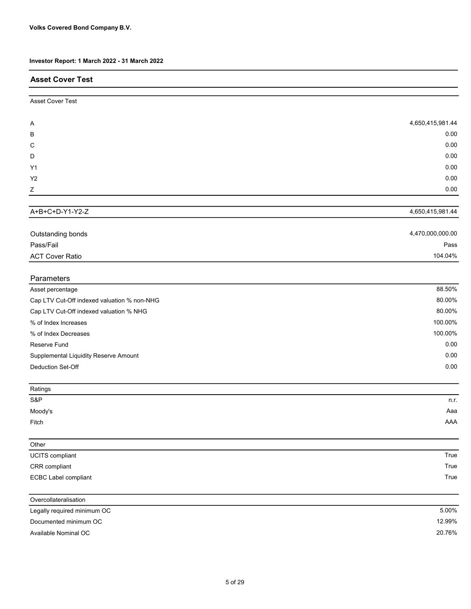#### Asset Cover Test

| Asset Cover Test |                  |
|------------------|------------------|
| A                | 4,650,415,981.44 |
| $\sf B$          | 0.00             |
| C                | 0.00             |
| D                | 0.00             |
| Y1               | 0.00             |
| <b>Y2</b>        | $0.00\,$         |
| Z                | 0.00             |
|                  |                  |
| A+B+C+D-Y1-Y2-Z  | 4,650,415,981.44 |

| Outstanding bonds      | 4,470,000,000.00 |
|------------------------|------------------|
| Pass/Fail              | Pass             |
| <b>ACT Cover Ratio</b> | 104.04%          |

| <b>Parameters</b>                           |         |
|---------------------------------------------|---------|
| Asset percentage                            | 88.50%  |
| Cap LTV Cut-Off indexed valuation % non-NHG | 80.00%  |
| Cap LTV Cut-Off indexed valuation % NHG     | 80.00%  |
| % of Index Increases                        | 100.00% |
| % of Index Decreases                        | 100.00% |
| Reserve Fund                                | 0.00    |
| Supplemental Liquidity Reserve Amount       | 0.00    |
| Deduction Set-Off                           | 0.00    |

| Ratings          |      |
|------------------|------|
| S&P              | n.r. |
| Moody's<br>Fitch | Aaa  |
|                  | AAA  |
|                  |      |
| Other            |      |

| True |
|------|
| True |
| True |
|      |

| Overcollateralisation       |        |
|-----------------------------|--------|
| Legally required minimum OC | 5.00%  |
| Documented minimum OC       | 12.99% |
| Available Nominal OC        | 20.76% |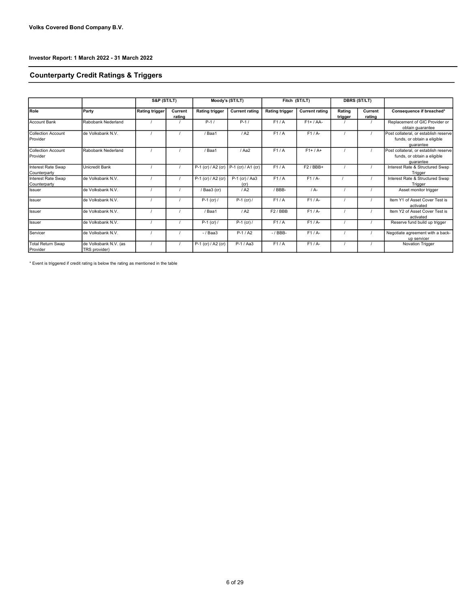#### Counterparty Credit Ratings & Triggers

|                                       |                                        | S&P (ST/LT)           |                   |                       | Moody's (ST/LT)        |                       | Fitch (ST/LT)         |                   | <b>DBRS (ST/LT)</b> |                                                                                   |
|---------------------------------------|----------------------------------------|-----------------------|-------------------|-----------------------|------------------------|-----------------------|-----------------------|-------------------|---------------------|-----------------------------------------------------------------------------------|
| Role                                  | Party                                  | <b>Rating trigger</b> | Current<br>rating | <b>Rating trigger</b> | <b>Current rating</b>  | <b>Rating trigger</b> | <b>Current rating</b> | Rating<br>trigger | Current<br>rating   | Consequence if breached*                                                          |
| Account Bank                          | Rabobank Nederland                     |                       |                   | $P-1/$                | $P-1/$                 | F1/A                  | $F1+ / AA-$           |                   |                     | Replacement of GIC Provider or<br>obtain guarantee                                |
| <b>Collection Account</b><br>Provider | de Volksbank N.V.                      |                       |                   | / Baa1                | / A2                   | F1/A                  | $F1/A-$               |                   |                     | Post collateral, or establish reserve<br>funds, or obtain a eligible<br>quarantee |
| Collection Account<br>Provider        | Rabobank Nederland                     |                       |                   | /Baa1                 | /Aa2                   | F1/A                  | $F1+ / A+$            |                   |                     | Post collateral, or establish reserve<br>funds, or obtain a eligible<br>quarantee |
| Interest Rate Swap<br>Counterparty    | Unicredit Bank                         |                       |                   | P-1 (cr) / A2 (cr)    | $P-1$ (cr) / A1 (cr)   | F1/A                  | $F2/BBB+$             |                   |                     | Interest Rate & Structured Swap<br>Trigger                                        |
| Interest Rate Swap<br>Counterparty    | de Volksbank N.V.                      |                       |                   | P-1 (cr) / A2 (cr)    | P-1 (cr) / Aa3<br>(cr) | F1/A                  | $F1/A-$               |                   |                     | Interest Rate & Structured Swap<br>Trigger                                        |
| <b>Issuer</b>                         | de Volksbank N.V.                      |                       |                   | /Baa3 (cr)            | / A2                   | / BBB-                | / A-                  |                   |                     | Asset monitor trigger                                                             |
| <b>Issuer</b>                         | de Volksbank N.V.                      |                       |                   | $P-1$ (cr) /          | $P-1$ (cr) /           | F1/A                  | $F1/A-$               |                   |                     | Item Y1 of Asset Cover Test is<br>activated                                       |
| <b>Issuer</b>                         | de Volksbank N.V.                      |                       |                   | /Baa1                 | / A2                   | F <sub>2</sub> / BBB  | $F1/A-$               |                   |                     | Item Y2 of Asset Cover Test is<br>activated                                       |
| <b>I</b> ssuer                        | de Volksbank N.V.                      |                       |                   | $P-1$ (cr) /          | $P-1$ (cr) /           | F1/A                  | $F1/A-$               |                   |                     | Reserve fund build up trigger                                                     |
| Servicer                              | de Volksbank N.V.                      |                       |                   | $-$ / Baa3            | $P-1/A2$               | $-$ / BBB-            | $F1/A-$               |                   |                     | Negotiate agreement with a back-<br>up servicer                                   |
| Total Return Swap<br>Provider         | de Volksbank N.V. (as<br>TRS provider) |                       |                   | P-1 (cr) / A2 (cr)    | $P-1/AA3$              | F1/A                  | $F1/A-$               |                   |                     | Novation Trigger                                                                  |

\* Event is triggered if credit rating is below the rating as mentioned in the table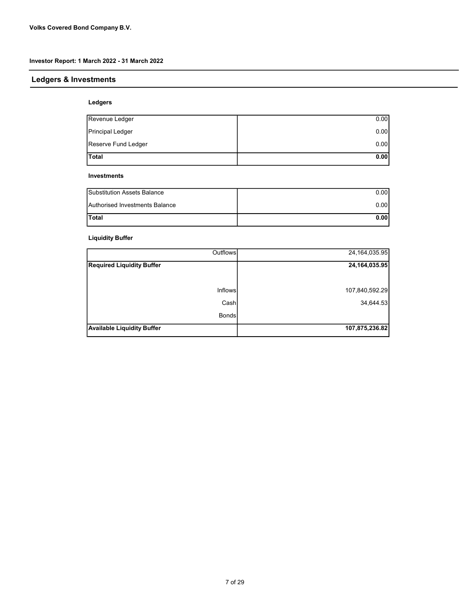## Ledgers & Investments

#### Ledgers

| Revenue Ledger      | 0.00 |
|---------------------|------|
| Principal Ledger    | 0.00 |
| Reserve Fund Ledger | 0.00 |
| <b>Total</b>        | 0.00 |

#### Investments

| <b>I</b> Substitution Assets Balance     | 0.001 |
|------------------------------------------|-------|
| <b>I</b> Authorised Investments Balance_ | 0.001 |
| lTotal                                   | 0.00  |

#### Liquidity Buffer

| Outflows                          | 24, 164, 035. 95 |
|-----------------------------------|------------------|
| <b>Required Liquidity Buffer</b>  | 24, 164, 035.95  |
|                                   |                  |
| Inflows                           | 107,840,592.29   |
| Cash                              | 34,644.53        |
| <b>Bonds</b>                      |                  |
| <b>Available Liquidity Buffer</b> | 107,875,236.82   |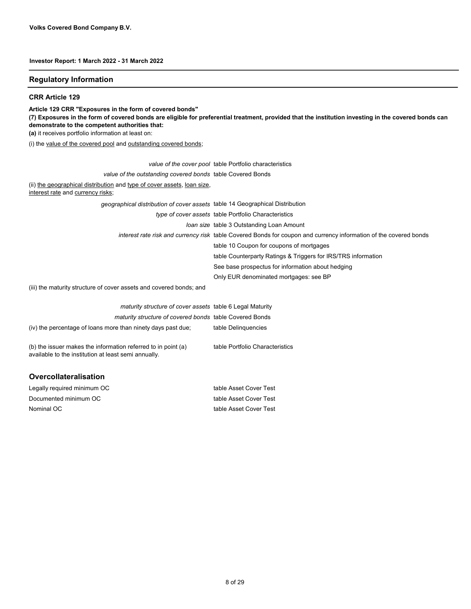#### Regulatory Information

#### CRR Article 129

Article 129 CRR "Exposures in the form of covered bonds" (7) Exposures in the form of covered bonds are eligible for preferential treatment, provided that the institution investing in the covered bonds can demonstrate to the competent authorities that: (a) it receives portfolio information at least on: (i) the value of the covered pool and outstanding covered bonds;

|                                                                                                              | value of the cover pool table Portfolio characteristics                                                           |
|--------------------------------------------------------------------------------------------------------------|-------------------------------------------------------------------------------------------------------------------|
| value of the outstanding covered bonds table Covered Bonds                                                   |                                                                                                                   |
| (ii) the geographical distribution and type of cover assets, loan size,<br>interest rate and currency risks; |                                                                                                                   |
| geographical distribution of cover assets table 14 Geographical Distribution                                 |                                                                                                                   |
|                                                                                                              | <i>type of cover assets</i> table Portfolio Characteristics                                                       |
|                                                                                                              | <i>loan size</i> table 3 Outstanding Loan Amount                                                                  |
|                                                                                                              | interest rate risk and currency risk table Covered Bonds for coupon and currency information of the covered bonds |
|                                                                                                              | table 10 Coupon for coupons of mortgages                                                                          |
|                                                                                                              | table Counterparty Ratings & Triggers for IRS/TRS information                                                     |
|                                                                                                              | See base prospectus for information about hedging                                                                 |
|                                                                                                              | Only EUR denominated mortgages: see BP                                                                            |
| (iii) the maturity structure of cover assets and covered bonds; and                                          |                                                                                                                   |

|                                                                                                                       | maturity structure of cover assets table 6 Legal Maturity      |
|-----------------------------------------------------------------------------------------------------------------------|----------------------------------------------------------------|
|                                                                                                                       | <i>maturity structure of covered bonds</i> table Covered Bonds |
| (iv) the percentage of loans more than ninety days past due;                                                          | table Delinguencies                                            |
| (b) the issuer makes the information referred to in point (a)<br>available to the institution at least semi annually. | table Portfolio Characteristics                                |

## Overcollateralisation

| Legally required minimum OC | table Asset Cover Test |
|-----------------------------|------------------------|
| Documented minimum OC       | table Asset Cover Test |
| Nominal OC                  | table Asset Cover Test |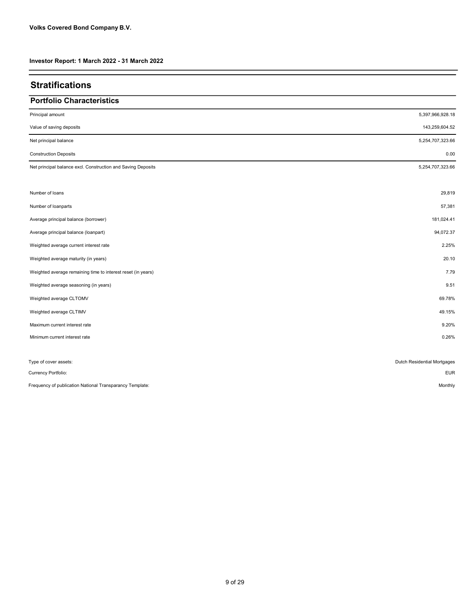| <b>Stratifications</b>                                       |                             |
|--------------------------------------------------------------|-----------------------------|
| <b>Portfolio Characteristics</b>                             |                             |
| Principal amount                                             | 5,397,966,928.18            |
| Value of saving deposits                                     | 143,259,604.52              |
| Net principal balance                                        | 5,254,707,323.66            |
| <b>Construction Deposits</b>                                 | 0.00                        |
| Net principal balance excl. Construction and Saving Deposits | 5,254,707,323.66            |
| Number of loans                                              | 29,819                      |
| Number of loanparts                                          | 57,381                      |
| Average principal balance (borrower)                         | 181,024.41                  |
| Average principal balance (loanpart)                         | 94,072.37                   |
| Weighted average current interest rate                       | 2.25%                       |
| Weighted average maturity (in years)                         | 20.10                       |
| Weighted average remaining time to interest reset (in years) | 7.79                        |
| Weighted average seasoning (in years)                        | 9.51                        |
| Weighted average CLTOMV                                      | 69.78%                      |
| Weighted average CLTIMV                                      | 49.15%                      |
| Maximum current interest rate                                | 9.20%                       |
| Minimum current interest rate                                | 0.26%                       |
| Type of cover assets:                                        | Dutch Residential Mortgages |
| Currency Portfolio:                                          | <b>EUR</b>                  |
| Frequency of publication National Transparancy Template:     | Monthly                     |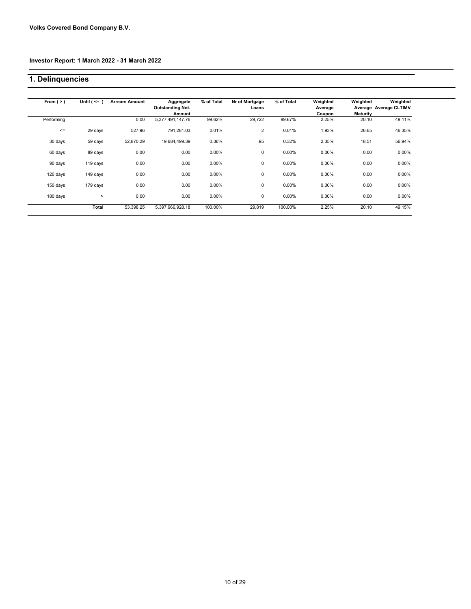## 1. Delinquencies

| From $(>)$ | Until $($ <= $)$ | <b>Arrears Amount</b> | Aggregate<br><b>Outstanding Not.</b><br>Amount | % of Total | Nr of Mortgage<br>Loans | % of Total | Weighted<br>Average<br>Coupon | Weighted<br><b>Maturity</b> | Weighted<br>Average Average CLTIMV |
|------------|------------------|-----------------------|------------------------------------------------|------------|-------------------------|------------|-------------------------------|-----------------------------|------------------------------------|
| Performing |                  | 0.00                  | 5,377,491,147.76                               | 99.62%     | 29,722                  | 99.67%     | 2.25%                         | 20.10                       | 49.11%                             |
| $\leq$     | 29 days          | 527.96                | 791,281.03                                     | 0.01%      | $\overline{2}$          | 0.01%      | 1.93%                         | 26.65                       | 46.35%                             |
| 30 days    | 59 days          | 52,870.29             | 19,684,499.39                                  | 0.36%      | 95                      | 0.32%      | 2.35%                         | 18.51                       | 56.94%                             |
| 60 days    | 89 days          | 0.00                  | 0.00                                           | $0.00\%$   | 0                       | 0.00%      | $0.00\%$                      | 0.00                        | 0.00%                              |
| 90 days    | 119 days         | 0.00                  | 0.00                                           | $0.00\%$   | 0                       | 0.00%      | $0.00\%$                      | 0.00                        | 0.00%                              |
| 120 days   | 149 days         | 0.00                  | 0.00                                           | $0.00\%$   | 0                       | 0.00%      | 0.00%                         | 0.00                        | 0.00%                              |
| 150 days   | 179 days         | 0.00                  | 0.00                                           | $0.00\%$   | 0                       | 0.00%      | 0.00%                         | 0.00                        | 0.00%                              |
| 180 days   | $\geq$           | 0.00                  | 0.00                                           | $0.00\%$   | $\mathbf 0$             | 0.00%      | 0.00%                         | 0.00                        | 0.00%                              |
|            | <b>Total</b>     | 53.398.25             | 5.397.966.928.18                               | 100.00%    | 29.819                  | 100.00%    | 2.25%                         | 20.10                       | 49.15%                             |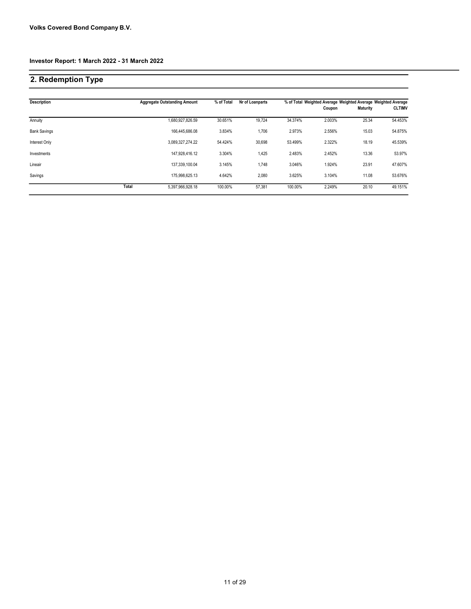## 2. Redemption Type

| <b>Description</b>  |       | <b>Aggregate Outstanding Amount</b> | % of Total | Nr of Loanparts |         | Coupon | % of Total Weighted Average Weighted Average Weighted Average<br><b>Maturity</b> | <b>CLTIMV</b> |
|---------------------|-------|-------------------------------------|------------|-----------------|---------|--------|----------------------------------------------------------------------------------|---------------|
| Annuity             |       | 1,680,927,826.59                    | 30.651%    | 19,724          | 34.374% | 2.003% | 25.34                                                                            | 54.453%       |
| <b>Bank Savings</b> |       | 166.445.686.08                      | 3.834%     | 1,706           | 2.973%  | 2.556% | 15.03                                                                            | 54.875%       |
| Interest Only       |       | 3,089,327,274.22                    | 54.424%    | 30.698          | 53.499% | 2.322% | 18.19                                                                            | 45.539%       |
| Investments         |       | 147.928.416.12                      | 3.304%     | 1,425           | 2.483%  | 2.452% | 13.36                                                                            | 53.97%        |
| Lineair             |       | 137.339.100.04                      | 3.145%     | 1,748           | 3.046%  | 1.924% | 23.91                                                                            | 47.607%       |
| Savings             |       | 175.998.625.13                      | 4.642%     | 2.080           | 3.625%  | 3.104% | 11.08                                                                            | 53.676%       |
|                     | Total | 5,397,966,928.18                    | 100.00%    | 57,381          | 100.00% | 2.249% | 20.10                                                                            | 49.151%       |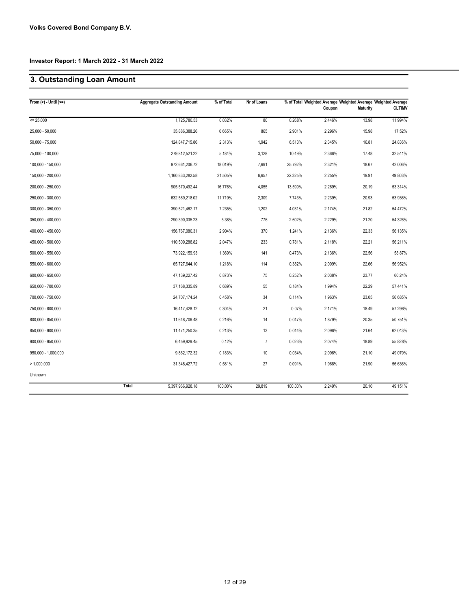#### 3. Outstanding Loan Amount

| From $(>) -$ Until $(<=)$ | <b>Aggregate Outstanding Amount</b> | % of Total | Nr of Loans    |         | Coupon | % of Total Weighted Average Weighted Average Weighted Average<br>Maturity | <b>CLTIMV</b> |
|---------------------------|-------------------------------------|------------|----------------|---------|--------|---------------------------------------------------------------------------|---------------|
| $= 25.000$                | 1,725,780.53                        | 0.032%     | 80             | 0.268%  | 2.446% | 13.98                                                                     | 11.994%       |
| 25,000 - 50,000           | 35,886,388.26                       | 0.665%     | 865            | 2.901%  | 2.296% | 15.98                                                                     | 17.52%        |
| $50,000 - 75,000$         | 124,847,715.86                      | 2.313%     | 1,942          | 6.513%  | 2.345% | 16.81                                                                     | 24.836%       |
| 75,000 - 100,000          | 279,812,521.22                      | 5.184%     | 3,128          | 10.49%  | 2.366% | 17.48                                                                     | 32.541%       |
| 100,000 - 150,000         | 972,661,206.72                      | 18.019%    | 7,691          | 25.792% | 2.321% | 18.67                                                                     | 42.006%       |
| 150,000 - 200,000         | 1,160,833,282.58                    | 21.505%    | 6,657          | 22.325% | 2.255% | 19.91                                                                     | 49.803%       |
| 200,000 - 250,000         | 905,570,492.44                      | 16.776%    | 4,055          | 13.599% | 2.269% | 20.19                                                                     | 53.314%       |
| 250,000 - 300,000         | 632,569,218.02                      | 11.719%    | 2,309          | 7.743%  | 2.239% | 20.93                                                                     | 53.936%       |
| 300,000 - 350,000         | 390,521,462.17                      | 7.235%     | 1,202          | 4.031%  | 2.174% | 21.82                                                                     | 54.472%       |
| 350,000 - 400,000         | 290,390,035.23                      | 5.38%      | 776            | 2.602%  | 2.229% | 21.20                                                                     | 54.326%       |
| 400,000 - 450,000         | 156,767,080.31                      | 2.904%     | 370            | 1.241%  | 2.136% | 22.33                                                                     | 56.135%       |
| 450,000 - 500,000         | 110,509,288.82                      | 2.047%     | 233            | 0.781%  | 2.118% | 22.21                                                                     | 56.211%       |
| 500,000 - 550,000         | 73,922,159.93                       | 1.369%     | 141            | 0.473%  | 2.136% | 22.56                                                                     | 58.87%        |
| 550,000 - 600,000         | 65,727,644.10                       | 1.218%     | 114            | 0.382%  | 2.009% | 22.66                                                                     | 56.952%       |
| 600,000 - 650,000         | 47,139,227.42                       | 0.873%     | 75             | 0.252%  | 2.038% | 23.77                                                                     | 60.24%        |
| 650,000 - 700,000         | 37, 168, 335.89                     | 0.689%     | 55             | 0.184%  | 1.994% | 22.29                                                                     | 57.441%       |
| 700,000 - 750,000         | 24,707,174.24                       | 0.458%     | 34             | 0.114%  | 1.963% | 23.05                                                                     | 56.685%       |
| 750,000 - 800,000         | 16,417,428.12                       | 0.304%     | 21             | 0.07%   | 2.171% | 18.49                                                                     | 57.296%       |
| 800,000 - 850,000         | 11,648,706.48                       | 0.216%     | 14             | 0.047%  | 1.879% | 20.35                                                                     | 50.751%       |
| 850,000 - 900,000         | 11,471,250.35                       | 0.213%     | 13             | 0.044%  | 2.096% | 21.64                                                                     | 62.043%       |
| 900,000 - 950,000         | 6,459,929.45                        | 0.12%      | $\overline{7}$ | 0.023%  | 2.074% | 18.89                                                                     | 55.828%       |
| 950,000 - 1,000,000       | 9,862,172.32                        | 0.183%     | 10             | 0.034%  | 2.096% | 21.10                                                                     | 49.079%       |
| > 1.000.000               | 31,348,427.72                       | 0.581%     | 27             | 0.091%  | 1.968% | 21.90                                                                     | 56.636%       |
| Unknown                   |                                     |            |                |         |        |                                                                           |               |
|                           | <b>Total</b><br>5,397,966,928.18    | 100.00%    | 29,819         | 100.00% | 2.249% | 20.10                                                                     | 49.151%       |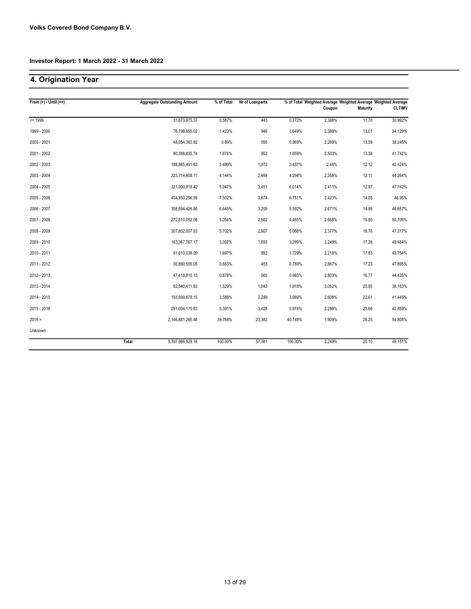### 4. Origination Year

| From $(>) -$ Until $(<=)$ | <b>Aggregate Outstanding Amount</b> | % of Total | Nr of Loanparts |         | Coupon | % of Total Weighted Average Weighted Average Weighted Average<br>Maturity | <b>CLTIMV</b> |
|---------------------------|-------------------------------------|------------|-----------------|---------|--------|---------------------------------------------------------------------------|---------------|
| $= 1999$                  | 31,673,975.37                       | 0.587%     | 443             | 0.772%  | 2.388% | 11.70                                                                     | 30.992%       |
| 1999 - 2000               | 76,798,955.02                       | 1.423%     | 946             | 1.649%  | 2.389% | 13.01                                                                     | 34.129%       |
| 2000 - 2001               | 48,054,363.92                       | 0.89%      | 556             | 0.969%  | 2.269% | 13.59                                                                     | 38.245%       |
| 2001 - 2002               | 90,388,835.74                       | 1.674%     | 952             | 1.659%  | 2.503% | 13.38                                                                     | 41.742%       |
| 2002 - 2003               | 188,865,491.63                      | 3.499%     | 1,972           | 3.437%  | 2.48%  | 12.12                                                                     | 42.424%       |
| 2003 - 2004               | 223,714,808.11                      | 4.144%     | 2,464           | 4.294%  | 2.358% | 12.11                                                                     | 44.264%       |
| 2004 - 2005               | 321,000,818.42                      | 5.947%     | 3,451           | 6.014%  | 2.411% | 12.97                                                                     | 47.742%       |
| 2005 - 2006               | 404,950,296.59                      | 7.502%     | 3,874           | 6.751%  | 2.423% | 14.05                                                                     | 46.95%        |
| 2006 - 2007               | 358,694,426.86                      | 6.645%     | 3,209           | 5.592%  | 2.671% | 14.95                                                                     | 46.657%       |
| 2007 - 2008               | 272,810,052.08                      | 5.054%     | 2,562           | 4.465%  | 2.668% | 15.80                                                                     | 50.706%       |
| 2008 - 2009               | 307,802,007.93                      | 5.702%     | 2,907           | 5.066%  | 2.377% | 16.76                                                                     | 47.317%       |
| 2009 - 2010               | 183, 367, 767. 17                   | 3.397%     | 1,893           | 3.299%  | 2.249% | 17.26                                                                     | 49.484%       |
| 2010 - 2011               | 91,610,038.09                       | 1.697%     | 992             | 1.729%  | 2.218% | 17.83                                                                     | 48.754%       |
| 2011 - 2012               | 36,890,555.05                       | 0.683%     | 453             | 0.789%  | 2.867% | 17.23                                                                     | 47.895%       |
| 2012 - 2013               | 47,418,810.13                       | 0.878%     | 565             | 0.985%  | 2.803% | 16.77                                                                     | 44.435%       |
| 2013 - 2014               | 82,540,411.83                       | 1.529%     | 1,043           | 1.818%  | 3.052% | 20.95                                                                     | 38.163%       |
| 2014 - 2015               | 193,699,878.15                      | 3.588%     | 2,289           | 3.989%  | 2.608% | 22.61                                                                     | 41.445%       |
| 2015 - 2016               | 291,004,170.63                      | 5.391%     | 3,428           | 5.974%  | 2.289% | 23.66                                                                     | 42.859%       |
| 2016 >                    | 2,146,681,265.46                    | 39.768%    | 23,382          | 40.749% | 1.909% | 26.25                                                                     | 54.808%       |
| Unknown                   |                                     |            |                 |         |        |                                                                           |               |
|                           | Total<br>5,397,966,928.18           | 100.00%    | 57,381          | 100.00% | 2.249% | 20.10                                                                     | 49.151%       |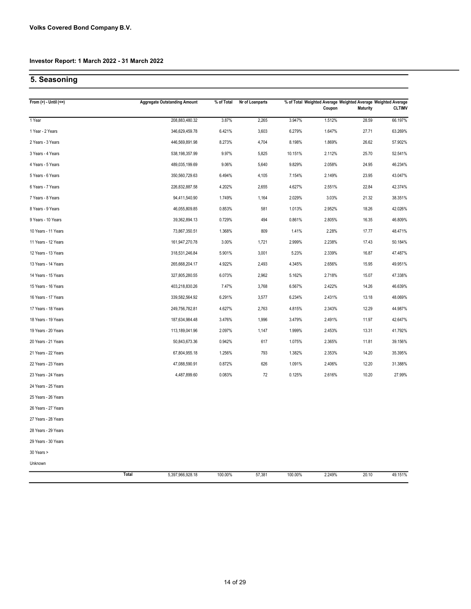## 5. Seasoning

| From $(>)$ - Until $(<=)$ | <b>Aggregate Outstanding Amount</b> | % of Total | Nr of Loanparts |         | % of Total Weighted Average Weighted Average Weighted Average<br><b>CLTIMV</b><br>Coupon<br><b>Maturity</b> |       |         |  |
|---------------------------|-------------------------------------|------------|-----------------|---------|-------------------------------------------------------------------------------------------------------------|-------|---------|--|
| 1 Year                    | 208,883,480.32                      | 3.87%      | 2,265           | 3.947%  | 1.512%                                                                                                      | 28.59 | 66.197% |  |
| 1 Year - 2 Years          | 346,629,459.78                      | 6.421%     | 3,603           | 6.279%  | 1.647%                                                                                                      | 27.71 | 63.269% |  |
| 2 Years - 3 Years         | 446,569,891.98                      | 8.273%     | 4,704           | 8.198%  | 1.869%                                                                                                      | 26.62 | 57.902% |  |
| 3 Years - 4 Years         | 538, 198, 357. 99                   | 9.97%      | 5,825           | 10.151% | 2.112%                                                                                                      | 25.70 | 52.541% |  |
| 4 Years - 5 Years         | 489,035,199.69                      | 9.06%      | 5,640           | 9.829%  | 2.058%                                                                                                      | 24.95 | 46.234% |  |
| 5 Years - 6 Years         | 350,560,729.63                      | 6.494%     | 4,105           | 7.154%  | 2.149%                                                                                                      | 23.95 | 43.047% |  |
| 6 Years - 7 Years         | 226,832,887.58                      | 4.202%     | 2,655           | 4.627%  | 2.551%                                                                                                      | 22.84 | 42.374% |  |
| 7 Years - 8 Years         | 94,411,540.90                       | 1.749%     | 1,164           | 2.029%  | 3.03%                                                                                                       | 21.32 | 38.351% |  |
| 8 Years - 9 Years         | 46,055,809.85                       | 0.853%     | 581             | 1.013%  | 2.952%                                                                                                      | 18.26 | 42.026% |  |
| 9 Years - 10 Years        | 39,362,894.13                       | 0.729%     | 494             | 0.861%  | 2.805%                                                                                                      | 16.35 | 46.809% |  |
| 10 Years - 11 Years       | 73,867,350.51                       | 1.368%     | 809             | 1.41%   | 2.28%                                                                                                       | 17.77 | 48.471% |  |
| 11 Years - 12 Years       | 161,947,270.78                      | 3.00%      | 1,721           | 2.999%  | 2.238%                                                                                                      | 17.43 | 50.184% |  |
| 12 Years - 13 Years       | 318,531,246.84                      | 5.901%     | 3,001           | 5.23%   | 2.339%                                                                                                      | 16.87 | 47.487% |  |
| 13 Years - 14 Years       | 265,668,204.17                      | 4.922%     | 2,493           | 4.345%  | 2.656%                                                                                                      | 15.95 | 49.951% |  |
| 14 Years - 15 Years       | 327,805,280.55                      | 6.073%     | 2,962           | 5.162%  | 2.718%                                                                                                      | 15.07 | 47.338% |  |
| 15 Years - 16 Years       | 403,218,830.26                      | 7.47%      | 3,768           | 6.567%  | 2.422%                                                                                                      | 14.26 | 46.639% |  |
| 16 Years - 17 Years       | 339,582,564.92                      | 6.291%     | 3,577           | 6.234%  | 2.431%                                                                                                      | 13.18 | 48.069% |  |
| 17 Years - 18 Years       | 249,756,782.81                      | 4.627%     | 2,763           | 4.815%  | 2.343%                                                                                                      | 12.29 | 44.987% |  |
| 18 Years - 19 Years       | 187,634,984.48                      | 3.476%     | 1,996           | 3.479%  | 2.491%                                                                                                      | 11.97 | 42.647% |  |
| 19 Years - 20 Years       | 113,189,041.96                      | 2.097%     | 1,147           | 1.999%  | 2.453%                                                                                                      | 13.31 | 41.792% |  |
| 20 Years - 21 Years       | 50,843,673.36                       | 0.942%     | 617             | 1.075%  | 2.365%                                                                                                      | 11.81 | 39.156% |  |
| 21 Years - 22 Years       | 67,804,955.18                       | 1.256%     | 793             | 1.382%  | 2.353%                                                                                                      | 14.20 | 35.395% |  |
| 22 Years - 23 Years       | 47,088,590.91                       | 0.872%     | 626             | 1.091%  | 2.406%                                                                                                      | 12.20 | 31.388% |  |
| 23 Years - 24 Years       | 4,487,899.60                        | 0.083%     | 72              | 0.125%  | 2.616%                                                                                                      | 10.20 | 27.99%  |  |
| 24 Years - 25 Years       |                                     |            |                 |         |                                                                                                             |       |         |  |
| 25 Years - 26 Years       |                                     |            |                 |         |                                                                                                             |       |         |  |
| 26 Years - 27 Years       |                                     |            |                 |         |                                                                                                             |       |         |  |
| 27 Years - 28 Years       |                                     |            |                 |         |                                                                                                             |       |         |  |
| 28 Years - 29 Years       |                                     |            |                 |         |                                                                                                             |       |         |  |
| 29 Years - 30 Years       |                                     |            |                 |         |                                                                                                             |       |         |  |
| 30 Years >                |                                     |            |                 |         |                                                                                                             |       |         |  |
| Unknown                   |                                     |            |                 |         |                                                                                                             |       |         |  |
|                           | Total<br>5,397,966,928.18           | 100.00%    | 57,381          | 100.00% | 2.249%                                                                                                      | 20.10 | 49.151% |  |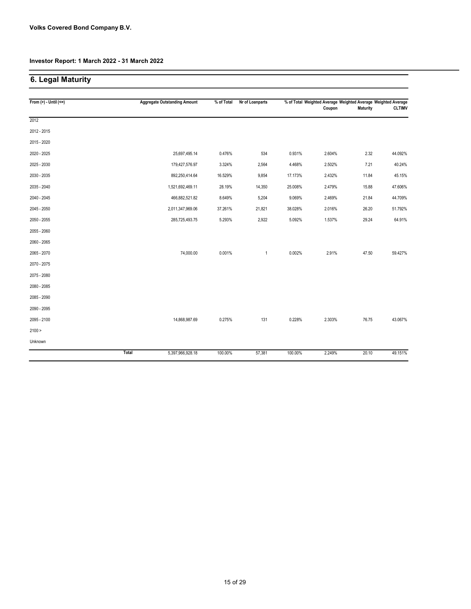## 6. Legal Maturity

| From $(>)$ - Until $(<=)$ |              | <b>Aggregate Outstanding Amount</b> | % of Total | Nr of Loanparts |         | % of Total Weighted Average Weighted Average Weighted Average |          |               |
|---------------------------|--------------|-------------------------------------|------------|-----------------|---------|---------------------------------------------------------------|----------|---------------|
|                           |              |                                     |            |                 |         | Coupon                                                        | Maturity | <b>CLTIMV</b> |
| 2012                      |              |                                     |            |                 |         |                                                               |          |               |
| 2012 - 2015               |              |                                     |            |                 |         |                                                               |          |               |
| 2015 - 2020               |              |                                     |            |                 |         |                                                               |          |               |
| 2020 - 2025               |              | 25,697,495.14                       | 0.476%     | 534             | 0.931%  | 2.604%                                                        | 2.32     | 44.092%       |
| 2025 - 2030               |              | 179,427,576.97                      | 3.324%     | 2,564           | 4.468%  | 2.502%                                                        | 7.21     | 40.24%        |
| 2030 - 2035               |              | 892,250,414.64                      | 16.529%    | 9,854           | 17.173% | 2.432%                                                        | 11.84    | 45.15%        |
| 2035 - 2040               |              | 1,521,692,469.11                    | 28.19%     | 14,350          | 25.008% | 2.479%                                                        | 15.88    | 47.606%       |
| 2040 - 2045               |              | 466,882,521.82                      | 8.649%     | 5,204           | 9.069%  | 2.469%                                                        | 21.84    | 44.709%       |
| 2045 - 2050               |              | 2,011,347,969.06                    | 37.261%    | 21,821          | 38.028% | 2.016%                                                        | 26.20    | 51.792%       |
| 2050 - 2055               |              | 285,725,493.75                      | 5.293%     | 2,922           | 5.092%  | 1.537%                                                        | 29.24    | 64.91%        |
| 2055 - 2060               |              |                                     |            |                 |         |                                                               |          |               |
| 2060 - 2065               |              |                                     |            |                 |         |                                                               |          |               |
| 2065 - 2070               |              | 74,000.00                           | 0.001%     | $\mathbf{1}$    | 0.002%  | 2.91%                                                         | 47.50    | 59.427%       |
| 2070 - 2075               |              |                                     |            |                 |         |                                                               |          |               |
| 2075 - 2080               |              |                                     |            |                 |         |                                                               |          |               |
| 2080 - 2085               |              |                                     |            |                 |         |                                                               |          |               |
| 2085 - 2090               |              |                                     |            |                 |         |                                                               |          |               |
| 2090 - 2095               |              |                                     |            |                 |         |                                                               |          |               |
| 2095 - 2100               |              | 14,868,987.69                       | 0.275%     | 131             | 0.228%  | 2.303%                                                        | 76.75    | 43.067%       |
| 2100 >                    |              |                                     |            |                 |         |                                                               |          |               |
| Unknown                   |              |                                     |            |                 |         |                                                               |          |               |
|                           | <b>Total</b> | 5,397,966,928.18                    | 100.00%    | 57,381          | 100.00% | 2.249%                                                        | 20.10    | 49.151%       |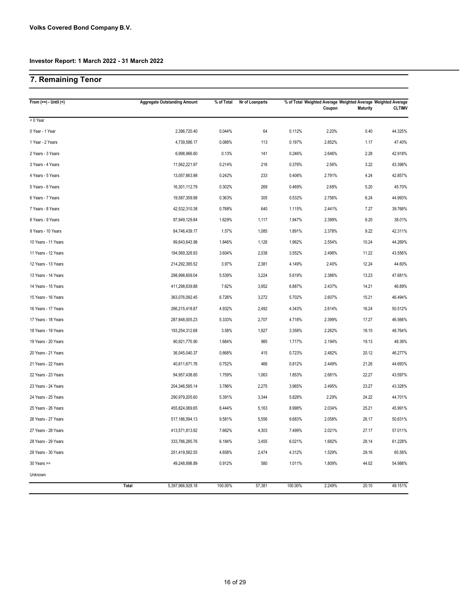## 7. Remaining Tenor

| From $(>=) -$ Until $($ | <b>Aggregate Outstanding Amount</b> | % of Total | Nr of Loanparts |         | % of Total Weighted Average Weighted Average Weighted Average<br>Coupon |       | <b>CLTIMV</b> |
|-------------------------|-------------------------------------|------------|-----------------|---------|-------------------------------------------------------------------------|-------|---------------|
| < 0 Year                |                                     |            |                 |         |                                                                         |       |               |
| 0 Year - 1 Year         | 2,396,720.40                        | 0.044%     | 64              | 0.112%  | 2.20%                                                                   | 0.40  | 44.325%       |
| 1 Year - 2 Years        | 4,739,586.17                        | 0.088%     | 113             | 0.197%  | 2.852%                                                                  | 1.17  | 47.40%        |
| 2 Years - 3 Years       | 6,998,966.60                        | 0.13%      | 141             | 0.246%  | 2.646%                                                                  | 2.28  | 42.918%       |
| 3 Years - 4 Years       | 11,562,221.97                       | 0.214%     | 216             | 0.376%  | 2.56%                                                                   | 3.22  | 43.398%       |
| 4 Years - 5 Years       | 13,057,663.98                       | 0.242%     | 233             | 0.406%  | 2.791%                                                                  | 4.24  | 42.857%       |
| 5 Years - 6 Years       | 16,301,112.79                       | 0.302%     | 269             | 0.469%  | 2.68%                                                                   | 5.20  | 45.70%        |
| 6 Years - 7 Years       | 19,587,359.98                       | 0.363%     | 305             | 0.532%  | 2.756%                                                                  | 6.24  | 44.993%       |
| 7 Years - 8 Years       | 42,532,310.38                       | 0.788%     | 640             | 1.115%  | 2.441%                                                                  | 7.27  | 39.768%       |
| 8 Years - 9 Years       | 87,949,129.84                       | 1.629%     | 1,117           | 1.947%  | 2.399%                                                                  | 8.20  | 38.01%        |
| 9 Years - 10 Years      | 84,746,439.17                       | 1.57%      | 1,085           | 1.891%  | 2.378%                                                                  | 9.22  | 42.311%       |
| 10 Years - 11 Years     | 99,643,643.98                       | 1.846%     | 1,126           | 1.962%  | 2.554%                                                                  | 10.24 | 44.269%       |
| 11 Years - 12 Years     | 194,569,326.93                      | 3.604%     | 2,038           | 3.552%  | 2.498%                                                                  | 11.22 | 43.556%       |
| 12 Years - 13 Years     | 214,292,395.52                      | 3.97%      | 2,381           | 4.149%  | 2.40%                                                                   | 12.24 | 44.60%        |
| 13 Years - 14 Years     | 298,998,609.04                      | 5.539%     | 3,224           | 5.619%  | 2.386%                                                                  | 13.23 | 47.681%       |
| 14 Years - 15 Years     | 411,298,639.88                      | 7.62%      | 3,952           | 6.887%  | 2.437%                                                                  | 14.21 | 46.89%        |
| 15 Years - 16 Years     | 363,076,092.45                      | 6.726%     | 3,272           | 5.702%  | 2.607%                                                                  | 15.21 | 46.494%       |
| 16 Years - 17 Years     | 266,215,418.87                      | 4.932%     | 2,492           | 4.343%  | 2.614%                                                                  | 16.24 | 50.512%       |
| 17 Years - 18 Years     | 287,848,005.23                      | 5.333%     | 2,707           | 4.718%  | 2.399%                                                                  | 17.27 | 46.566%       |
| 18 Years - 19 Years     | 193,254,312.68                      | 3.58%      | 1,927           | 3.358%  | 2.262%                                                                  | 18.15 | 48.764%       |
| 19 Years - 20 Years     | 90,921,775.90                       | 1.684%     | 985             | 1.717%  | 2.194%                                                                  | 19.13 | 48.36%        |
| 20 Years - 21 Years     | 36,045,040.37                       | 0.668%     | 415             | 0.723%  | 2.482%                                                                  | 20.12 | 46.277%       |
| 21 Years - 22 Years     | 40,611,671.76                       | 0.752%     | 466             | 0.812%  | 2.449%                                                                  | 21.26 | 44.693%       |
| 22 Years - 23 Years     | 94, 957, 438. 65                    | 1.759%     | 1,063           | 1.853%  | 2.681%                                                                  | 22.27 | 43.597%       |
| 23 Years - 24 Years     | 204,346,595.14                      | 3.786%     | 2,275           | 3.965%  | 2.495%                                                                  | 23.27 | 43.328%       |
| 24 Years - 25 Years     | 290,979,205.60                      | 5.391%     | 3,344           | 5.828%  | 2.29%                                                                   | 24.22 | 44.701%       |
| 25 Years - 26 Years     | 455,824,069.65                      | 8.444%     | 5,163           | 8.998%  | 2.034%                                                                  | 25.21 | 45.991%       |
| 26 Years - 27 Years     | 517, 186, 594. 13                   | 9.581%     | 5,556           | 9.683%  | 2.058%                                                                  | 26.17 | 50.631%       |
| 27 Years - 28 Years     | 413,571,813.92                      | 7.662%     | 4,303           | 7.499%  | 2.021%                                                                  | 27.17 | 57.011%       |
| 28 Years - 29 Years     | 333,786,285.76                      | 6.184%     | 3,455           | 6.021%  | 1.682%                                                                  | 28.14 | 61.228%       |
| 29 Years - 30 Years     | 251,419,582.55                      | 4.658%     | 2,474           | 4.312%  | 1.529%                                                                  | 29.16 | 65.56%        |
| 30 Years >=             | 49,248,898.89                       | 0.912%     | 580             | 1.011%  | 1.809%                                                                  | 44.02 | 54.988%       |
| Unknown                 |                                     |            |                 |         |                                                                         |       |               |
|                         | Total<br>5,397,966,928.18           | 100.00%    | 57,381          | 100.00% | 2.249%                                                                  | 20.10 | 49.151%       |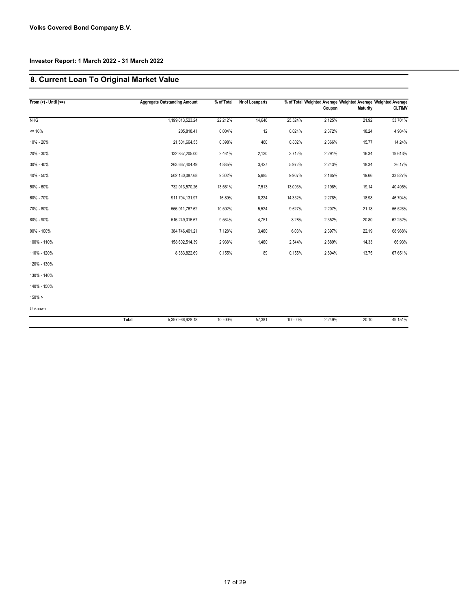## 8. Current Loan To Original Market Value

| From $(>) -$ Until $(<=)$ |       | <b>Aggregate Outstanding Amount</b> | % of Total | Nr of Loanparts |         |        | % of Total Weighted Average Weighted Average Weighted Average |               |
|---------------------------|-------|-------------------------------------|------------|-----------------|---------|--------|---------------------------------------------------------------|---------------|
|                           |       |                                     |            |                 |         | Coupon | Maturity                                                      | <b>CLTIMV</b> |
| <b>NHG</b>                |       | 1,199,013,523.24                    | 22.212%    | 14,646          | 25.524% | 2.125% | 21.92                                                         | 53.701%       |
| $= 10%$                   |       | 205,818.41                          | 0.004%     | 12              | 0.021%  | 2.372% | 18.24                                                         | 4.984%        |
| 10% - 20%                 |       | 21,501,664.55                       | 0.398%     | 460             | 0.802%  | 2.366% | 15.77                                                         | 14.24%        |
| 20% - 30%                 |       | 132,837,205.00                      | 2.461%     | 2,130           | 3.712%  | 2.291% | 16.34                                                         | 19.613%       |
| $30\% - 40\%$             |       | 263,667,404.49                      | 4.885%     | 3,427           | 5.972%  | 2.243% | 18.34                                                         | 26.17%        |
| 40% - 50%                 |       | 502,130,087.68                      | 9.302%     | 5,685           | 9.907%  | 2.165% | 19.66                                                         | 33.827%       |
| 50% - 60%                 |       | 732,013,570.26                      | 13.561%    | 7,513           | 13.093% | 2.198% | 19.14                                                         | 40.495%       |
| 60% - 70%                 |       | 911,704,131.97                      | 16.89%     | 8,224           | 14.332% | 2.278% | 18.98                                                         | 46.704%       |
| 70% - 80%                 |       | 566,911,767.62                      | 10.502%    | 5,524           | 9.627%  | 2.207% | 21.18                                                         | 56.526%       |
| 80% - 90%                 |       | 516,249,016.67                      | 9.564%     | 4,751           | 8.28%   | 2.352% | 20.80                                                         | 62.252%       |
| 90% - 100%                |       | 384,746,401.21                      | 7.128%     | 3,460           | 6.03%   | 2.397% | 22.19                                                         | 68.988%       |
| 100% - 110%               |       | 158,602,514.39                      | 2.938%     | 1,460           | 2.544%  | 2.889% | 14.33                                                         | 66.93%        |
| 110% - 120%               |       | 8,383,822.69                        | 0.155%     | 89              | 0.155%  | 2.894% | 13.75                                                         | 67.651%       |
| 120% - 130%               |       |                                     |            |                 |         |        |                                                               |               |
| 130% - 140%               |       |                                     |            |                 |         |        |                                                               |               |
| 140% - 150%               |       |                                     |            |                 |         |        |                                                               |               |
| $150\% >$                 |       |                                     |            |                 |         |        |                                                               |               |
| Unknown                   |       |                                     |            |                 |         |        |                                                               |               |
|                           | Total | 5,397,966,928.18                    | 100.00%    | 57,381          | 100.00% | 2.249% | 20.10                                                         | 49.151%       |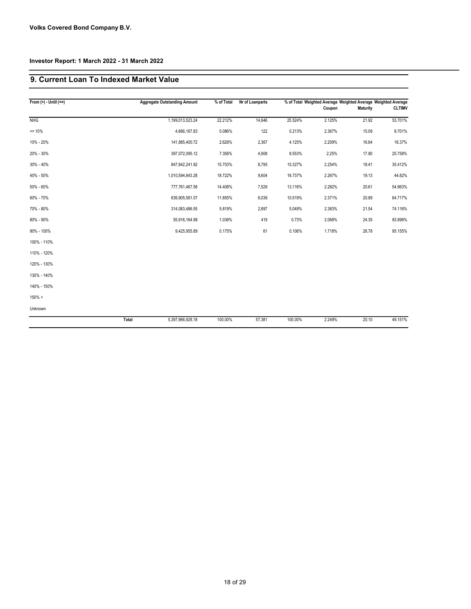#### 9. Current Loan To Indexed Market Value

| From $(>) -$ Until $(<=)$ | <b>Aggregate Outstanding Amount</b> |                  | % of Total | Nr of Loanparts |         |        | % of Total Weighted Average Weighted Average Weighted Average |               |
|---------------------------|-------------------------------------|------------------|------------|-----------------|---------|--------|---------------------------------------------------------------|---------------|
|                           |                                     |                  |            |                 |         | Coupon | <b>Maturity</b>                                               | <b>CLTIMV</b> |
| <b>NHG</b>                |                                     | 1,199,013,523.24 | 22.212%    | 14,646          | 25.524% | 2.125% | 21.92                                                         | 53.701%       |
| $= 10%$                   |                                     | 4,666,167.83     | 0.086%     | 122             | 0.213%  | 2.367% | 15.09                                                         | 8.701%        |
| 10% - 20%                 |                                     | 141,885,400.72   | 2.628%     | 2,367           | 4.125%  | 2.209% | 16.64                                                         | 16.37%        |
| 20% - 30%                 |                                     | 397,072,095.12   | 7.356%     | 4,908           | 8.553%  | 2.25%  | 17.80                                                         | 25.758%       |
| $30\% - 40\%$             |                                     | 847,642,241.92   | 15.703%    | 8,795           | 15.327% | 2.254% | 18.41                                                         | 35.412%       |
| 40% - 50%                 |                                     | 1,010,594,843.28 | 18.722%    | 9,604           | 16.737% | 2.267% | 19.13                                                         | 44.82%        |
| 50% - 60%                 |                                     | 777,761,467.58   | 14.408%    | 7,526           | 13.116% | 2.282% | 20.61                                                         | 54.963%       |
| 60% - 70%                 |                                     | 639,905,581.07   | 11.855%    | 6,036           | 10.519% | 2.371% | 20.89                                                         | 64.717%       |
| 70% - 80%                 |                                     | 314,083,486.55   | 5.819%     | 2,897           | 5.049%  | 2.383% | 21.54                                                         | 74.116%       |
| 80% - 90%                 |                                     | 55,916,164.98    | 1.036%     | 419             | 0.73%   | 2.068% | 24.35                                                         | 83.898%       |
| 90% - 100%                |                                     | 9,425,955.89     | 0.175%     | 61              | 0.106%  | 1.718% | 26.78                                                         | 95.155%       |
| 100% - 110%               |                                     |                  |            |                 |         |        |                                                               |               |
| 110% - 120%               |                                     |                  |            |                 |         |        |                                                               |               |
| 120% - 130%               |                                     |                  |            |                 |         |        |                                                               |               |
| 130% - 140%               |                                     |                  |            |                 |         |        |                                                               |               |
| 140% - 150%               |                                     |                  |            |                 |         |        |                                                               |               |
| $150\% >$                 |                                     |                  |            |                 |         |        |                                                               |               |
| Unknown                   |                                     |                  |            |                 |         |        |                                                               |               |
|                           | Total                               | 5,397,966,928.18 | 100.00%    | 57,381          | 100.00% | 2.249% | 20.10                                                         | 49.151%       |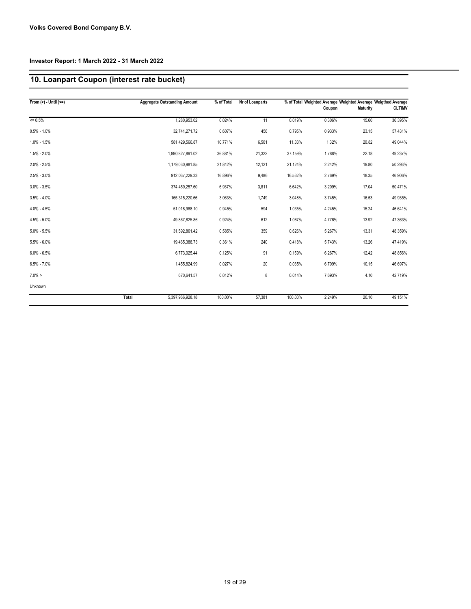## 10. Loanpart Coupon (interest rate bucket)

| From $(>) -$ Until $(<=)$ |       | <b>Aggregate Outstanding Amount</b> | % of Total | Nr of Loanparts |         |        | % of Total Weighted Average Weighted Average Weigthed Average |               |
|---------------------------|-------|-------------------------------------|------------|-----------------|---------|--------|---------------------------------------------------------------|---------------|
|                           |       |                                     |            |                 |         | Coupon | <b>Maturity</b>                                               | <b>CLTIMV</b> |
| $= 0.5%$                  |       | 1.280.953.02                        | 0.024%     | 11              | 0.019%  | 0.306% | 15.60                                                         | 36.395%       |
| $0.5\% - 1.0\%$           |       | 32,741,271.72                       | 0.607%     | 456             | 0.795%  | 0.933% | 23.15                                                         | 57.431%       |
| $1.0\% - 1.5\%$           |       | 581,429,566.87                      | 10.771%    | 6,501           | 11.33%  | 1.32%  | 20.82                                                         | 49.044%       |
| $1.5\% - 2.0\%$           |       | 1,990,827,891.02                    | 36.881%    | 21,322          | 37.159% | 1.788% | 22.18                                                         | 49.237%       |
| $2.0\% - 2.5\%$           |       | 1,179,030,981.85                    | 21.842%    | 12,121          | 21.124% | 2.242% | 19.80                                                         | 50.293%       |
| $2.5\% - 3.0\%$           |       | 912,037,229.33                      | 16.896%    | 9,486           | 16.532% | 2.769% | 18.35                                                         | 46.906%       |
| $3.0\% - 3.5\%$           |       | 374,459,257.60                      | 6.937%     | 3,811           | 6.642%  | 3.209% | 17.04                                                         | 50.471%       |
| $3.5\% - 4.0\%$           |       | 165,315,220.66                      | 3.063%     | 1,749           | 3.048%  | 3.745% | 16.53                                                         | 49.935%       |
| $4.0\% - 4.5\%$           |       | 51,018,988.10                       | 0.945%     | 594             | 1.035%  | 4.245% | 15.24                                                         | 46.641%       |
| $4.5\% - 5.0\%$           |       | 49,867,825.86                       | 0.924%     | 612             | 1.067%  | 4.776% | 13.92                                                         | 47.363%       |
| $5.0\% - 5.5\%$           |       | 31,592,861.42                       | 0.585%     | 359             | 0.626%  | 5.267% | 13.31                                                         | 48.359%       |
| $5.5\% - 6.0\%$           |       | 19,465,388.73                       | 0.361%     | 240             | 0.418%  | 5.743% | 13.26                                                         | 47.419%       |
| $6.0\% - 6.5\%$           |       | 6,773,025.44                        | 0.125%     | 91              | 0.159%  | 6.267% | 12.42                                                         | 48.856%       |
| $6.5\% - 7.0\%$           |       | 1,455,824.99                        | 0.027%     | 20              | 0.035%  | 6.709% | 10.15                                                         | 46.697%       |
| $7.0\% >$                 |       | 670,641.57                          | 0.012%     | 8               | 0.014%  | 7.693% | 4.10                                                          | 42.719%       |
| Unknown                   |       |                                     |            |                 |         |        |                                                               |               |
|                           | Total | 5,397,966,928.18                    | 100.00%    | 57,381          | 100.00% | 2.249% | 20.10                                                         | 49.151%       |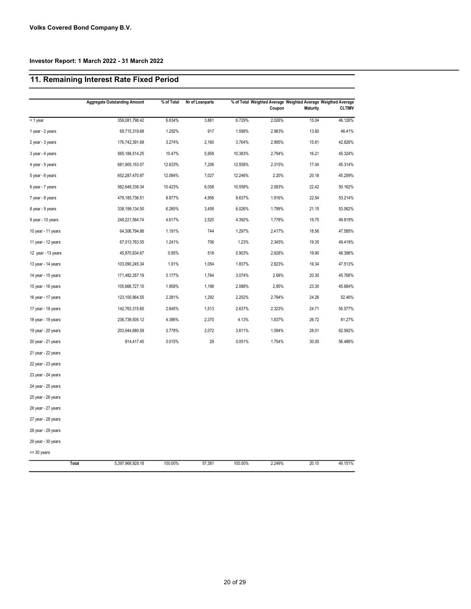## 11. Remaining Interest Rate Fixed Period

|                    | <b>Aggregate Outstanding Amount</b> | % of Total | Nr of Loanparts |         | Coupon | % of Total Weighted Average Weighted Average Weigthed Average<br><b>Maturity</b> | <b>CLTIMV</b> |
|--------------------|-------------------------------------|------------|-----------------|---------|--------|----------------------------------------------------------------------------------|---------------|
| < 1 year           | 358,081,798.42                      | 6.634%     | 3,861           | 6.729%  | 2.026% | 15.04                                                                            | 46.126%       |
| 1 year - 2 years   | 69,715,319.68                       | 1.292%     | 917             | 1.598%  | 2.983% | 13.80                                                                            | 46.41%        |
| 2 year - 3 years   | 176,742,391.68                      | 3.274%     | 2,160           | 3.764%  | 2.995% | 15.81                                                                            | 42.826%       |
| 3 year - 4 years   | 565, 186, 514.25                    | 10.47%     | 5,958           | 10.383% | 2.794% | 16.21                                                                            | 45.324%       |
| 4 year - 5 years   | 681,905,153.07                      | 12.633%    | 7,206           | 12.558% | 2.315% | 17.04                                                                            | 45.314%       |
| 5 year - 6 years   | 652,287,470.97                      | 12.084%    | 7,027           | 12.246% | 2.20%  | 20.18                                                                            | 45.259%       |
| 6 year - 7 years   | 562,648,338.34                      | 10.423%    | 6,058           | 10.558% | 2.093% | 22.42                                                                            | 50.162%       |
| 7 year - 8 years   | 479,185,736.51                      | 8.877%     | 4,956           | 8.637%  | 1.916% | 22.54                                                                            | 53.214%       |
| 8 year - 9 years   | 338, 199, 134.50                    | 6.265%     | 3,458           | 6.026%  | 1.799% | 21.15                                                                            | 53.062%       |
| 9 year - 10 years  | 249,221,564.74                      | 4.617%     | 2,520           | 4.392%  | 1.778% | 19.75                                                                            | 49.819%       |
| 10 year - 11 years | 64,306,794.86                       | 1.191%     | 744             | 1.297%  | 2.417% | 18.56                                                                            | 47.585%       |
| 11 year - 12 years | 67,013,763.55                       | 1.241%     | 706             | 1.23%   | 2.345% | 19.35                                                                            | 49.419%       |
| 12 year - 13 years | 45,870,834.67                       | 0.85%      | 518             | 0.903%  | 2.928% | 19.90                                                                            | 48.396%       |
| 13 year - 14 years | 103,090,245.34                      | 1.91%      | 1,054           | 1.837%  | 2.823% | 19.34                                                                            | 47.513%       |
| 14 year - 15 years | 171,482,357.19                      | 3.177%     | 1,764           | 3.074%  | 2.68%  | 20.30                                                                            | 45.766%       |
| 15 year - 16 years | 105,666,727.10                      | 1.958%     | 1,198           | 2.088%  | 2.85%  | 23.30                                                                            | 45.684%       |
| 16 year - 17 years | 123,100,864.55                      | 2.281%     | 1,292           | 2.252%  | 2.794% | 24.26                                                                            | 52.46%        |
| 17 year - 18 years | 142,763,315.60                      | 2.645%     | 1,513           | 2.637%  | 2.323% | 24.71                                                                            | 55.577%       |
| 18 year - 19 years | 236,739,505.12                      | 4.386%     | 2,370           | 4.13%   | 1.837% | 26.72                                                                            | 61.27%        |
| 19 year - 20 years | 203,944,680.59                      | 3.778%     | 2,072           | 3.611%  | 1.594% | 28.01                                                                            | 62.592%       |
| 20 year - 21 years | 814,417.45                          | 0.015%     | 29              | 0.051%  | 1.754% | 30.00                                                                            | 56.486%       |
| 21 year - 22 years |                                     |            |                 |         |        |                                                                                  |               |
| 22 year - 23 years |                                     |            |                 |         |        |                                                                                  |               |
| 23 year - 24 years |                                     |            |                 |         |        |                                                                                  |               |
| 24 year - 25 years |                                     |            |                 |         |        |                                                                                  |               |
| 25 year - 26 years |                                     |            |                 |         |        |                                                                                  |               |
| 26 year - 27 years |                                     |            |                 |         |        |                                                                                  |               |
| 27 year - 28 years |                                     |            |                 |         |        |                                                                                  |               |
| 28 year - 29 years |                                     |            |                 |         |        |                                                                                  |               |
| 29 year - 30 years |                                     |            |                 |         |        |                                                                                  |               |
| $>=$ 30 years      |                                     |            |                 |         |        |                                                                                  |               |
|                    | 5,397,966,928.18<br><b>Total</b>    | 100.00%    | 57,381          | 100.00% | 2.249% | 20.10                                                                            | 49.151%       |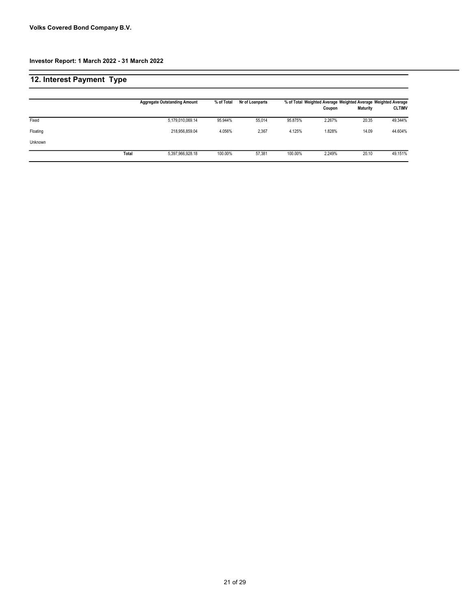## 12. Interest Payment Type

|          |       | <b>Aggregate Outstanding Amount</b> | % of Total | Nr of Loanparts |         | % of Total Weighted Average Weighted Average Weighted Average<br>Coupon | Maturity | <b>CLTIMV</b> |
|----------|-------|-------------------------------------|------------|-----------------|---------|-------------------------------------------------------------------------|----------|---------------|
| Fixed    |       | 5,179,010,069.14                    | 95.944%    | 55.014          | 95.875% | 2.267%                                                                  | 20.35    | 49.344%       |
| Floating |       | 218,956,859.04                      | 4.056%     | 2,367           | 4.125%  | 1.828%                                                                  | 14.09    | 44.604%       |
| Unknown  |       |                                     |            |                 |         |                                                                         |          |               |
|          | Total | 5,397,966,928.18                    | 100.00%    | 57.381          | 100.00% | 2.249%                                                                  | 20.10    | 49.151%       |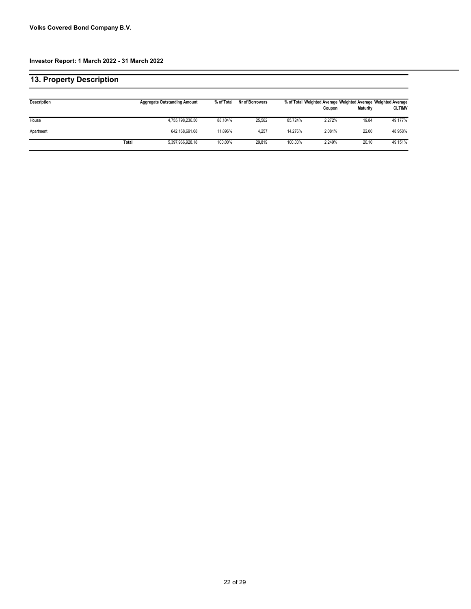## 13. Property Description

| <b>Description</b> |       | <b>Aggregate Outstanding Amount</b> | % of Total | Nr of Borrowers |         | Coupon | % of Total Weighted Average Weighted Average Weighted Average<br><b>Maturity</b> | <b>CLTIMV</b> |
|--------------------|-------|-------------------------------------|------------|-----------------|---------|--------|----------------------------------------------------------------------------------|---------------|
| House              |       | 4,755,798,236.50                    | 88.104%    | 25.562          | 85.724% | 2.272% | 19.84                                                                            | 49.177%       |
| Apartment          |       | 642,168,691.68                      | 11.896%    | 4,257           | 14.276% | 2.081% | 22.00                                                                            | 48.958%       |
|                    | Total | 5,397,966,928.18                    | 100.00%    | 29.819          | 100.00% | 2.249% | 20.10                                                                            | 49.151%       |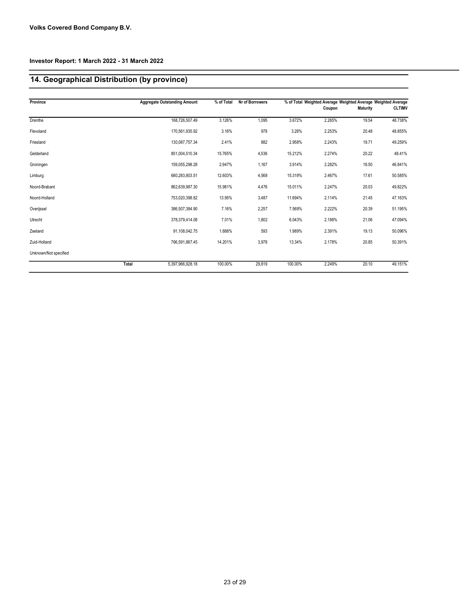## 14. Geographical Distribution (by province)

| Province              | <b>Aggregate Outstanding Amount</b> | % of Total | Nr of Borrowers |         |        |                 | % of Total Weighted Average Weighted Average Weighted Average |
|-----------------------|-------------------------------------|------------|-----------------|---------|--------|-----------------|---------------------------------------------------------------|
|                       |                                     |            |                 |         | Coupon | <b>Maturity</b> | <b>CLTIMV</b>                                                 |
| Drenthe               | 168,726,507.49                      | 3.126%     | 1,095           | 3.672%  | 2.265% | 19.54           | 48.738%                                                       |
| Flevoland             | 170,561,935.92                      | 3.16%      | 978             | 3.28%   | 2.253% | 20.48           | 48.855%                                                       |
| Friesland             | 130,087,757.34                      | 2.41%      | 882             | 2.958%  | 2.243% | 19.71           | 49.259%                                                       |
| Gelderland            | 851,004,510.34                      | 15.765%    | 4,536           | 15.212% | 2.274% | 20.22           | 48.41%                                                        |
| Groningen             | 159,055,298.28                      | 2.947%     | 1,167           | 3.914%  | 2.282% | 18.50           | 46.841%                                                       |
| Limburg               | 680,283,803.51                      | 12.603%    | 4,568           | 15.319% | 2.467% | 17.61           | 50.585%                                                       |
| Noord-Brabant         | 862,639,987.30                      | 15.981%    | 4,476           | 15.011% | 2.247% | 20.03           | 49.822%                                                       |
| Noord-Holland         | 753,020,398.82                      | 13.95%     | 3,487           | 11.694% | 2.114% | 21.45           | 47.163%                                                       |
| Overijssel            | 386,507,384.90                      | 7.16%      | 2,257           | 7.569%  | 2.222% | 20.39           | 51.195%                                                       |
| Utrecht               | 378,379,414.08                      | 7.01%      | 1,802           | 6.043%  | 2.188% | 21.06           | 47.094%                                                       |
| Zeeland               | 91,108,042.75                       | 1.688%     | 593             | 1.989%  | 2.391% | 19.13           | 50.096%                                                       |
| Zuid-Holland          | 766.591.887.45                      | 14.201%    | 3.978           | 13.34%  | 2.178% | 20.85           | 50.391%                                                       |
| Unknown/Not specified |                                     |            |                 |         |        |                 |                                                               |
|                       | Total<br>5,397,966,928.18           | 100.00%    | 29,819          | 100.00% | 2.249% | 20.10           | 49.151%                                                       |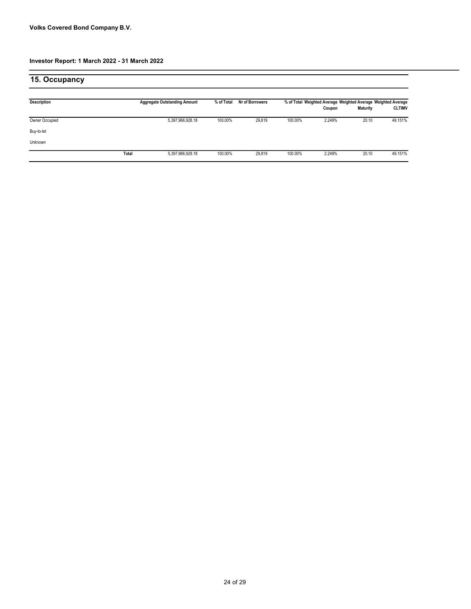## 15. Occupancy

| <b>Description</b> |       | <b>Aggregate Outstanding Amount</b> | % of Total | Nr of Borrowers |         | Coupon | Maturity | % of Total Weighted Average Weighted Average Weighted Average<br><b>CLTIMV</b> |
|--------------------|-------|-------------------------------------|------------|-----------------|---------|--------|----------|--------------------------------------------------------------------------------|
| Owner Occupied     |       | 5,397,966,928.18                    | 100.00%    | 29,819          | 100.00% | 2.249% | 20.10    | 49.151%                                                                        |
| Buy-to-let         |       |                                     |            |                 |         |        |          |                                                                                |
| Unknown            |       |                                     |            |                 |         |        |          |                                                                                |
|                    | Total | 5,397,966,928.18                    | 100.00%    | 29,819          | 100.00% | 2.249% | 20.10    | 49.151%                                                                        |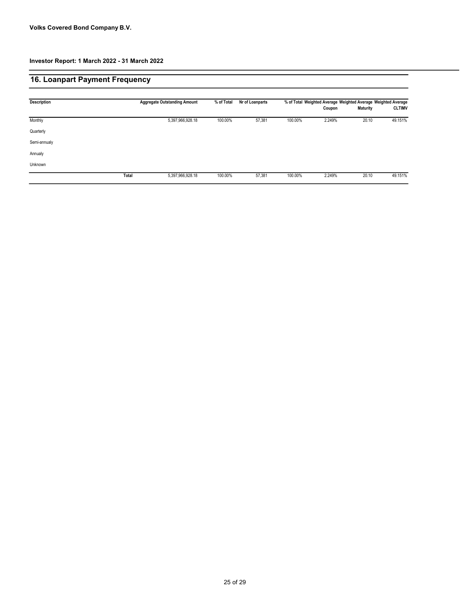## 16. Loanpart Payment Frequency

| <b>Description</b> |       | <b>Aggregate Outstanding Amount</b> | % of Total | Nr of Loanparts |         | % of Total Weighted Average Weighted Average Weighted Average<br>Coupon | Maturity | <b>CLTIMV</b> |
|--------------------|-------|-------------------------------------|------------|-----------------|---------|-------------------------------------------------------------------------|----------|---------------|
| Monthly            |       | 5,397,966,928.18                    | 100.00%    | 57,381          | 100.00% | 2.249%                                                                  | 20.10    | 49.151%       |
| Quarterly          |       |                                     |            |                 |         |                                                                         |          |               |
| Semi-annualy       |       |                                     |            |                 |         |                                                                         |          |               |
| Annualy            |       |                                     |            |                 |         |                                                                         |          |               |
| Unknown            |       |                                     |            |                 |         |                                                                         |          |               |
|                    | Total | 5,397,966,928.18                    | 100.00%    | 57,381          | 100.00% | 2.249%                                                                  | 20.10    | 49.151%       |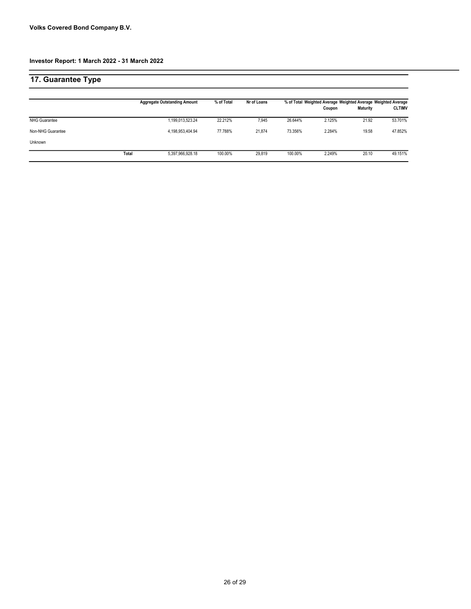## 17. Guarantee Type

|                      |       | <b>Aggregate Outstanding Amount</b> | % of Total | Nr of Loans |         | % of Total Weighted Average Weighted Average Weighted Average<br>Coupon | Maturity | <b>CLTIMV</b> |
|----------------------|-------|-------------------------------------|------------|-------------|---------|-------------------------------------------------------------------------|----------|---------------|
| <b>NHG Guarantee</b> |       | 1,199,013,523.24                    | 22.212%    | 7,945       | 26.644% | 2.125%                                                                  | 21.92    | 53.701%       |
| Non-NHG Guarantee    |       | 4,198,953,404.94                    | 77.788%    | 21.874      | 73.356% | 2.284%                                                                  | 19.58    | 47.852%       |
| Unknown              |       |                                     |            |             |         |                                                                         |          |               |
|                      | Total | 5,397,966,928.18                    | 100.00%    | 29,819      | 100.00% | 2.249%                                                                  | 20.10    | 49.151%       |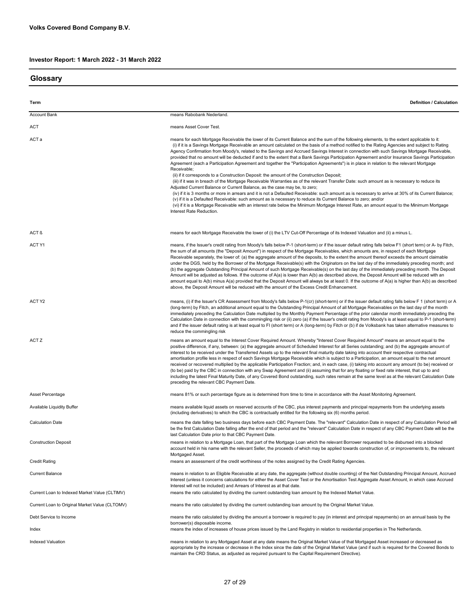#### **Glossary**

| Term                                           | <b>Definition / Calculation</b>                                                                                                                                                                                                                                                                                                                                                                                                                                                                                                                                                                                                                                                                                                                                                                                                                                                                                                                                                                                                                                                                                                                                                                                                                                                                                                                                                                                                                                                                                                        |
|------------------------------------------------|----------------------------------------------------------------------------------------------------------------------------------------------------------------------------------------------------------------------------------------------------------------------------------------------------------------------------------------------------------------------------------------------------------------------------------------------------------------------------------------------------------------------------------------------------------------------------------------------------------------------------------------------------------------------------------------------------------------------------------------------------------------------------------------------------------------------------------------------------------------------------------------------------------------------------------------------------------------------------------------------------------------------------------------------------------------------------------------------------------------------------------------------------------------------------------------------------------------------------------------------------------------------------------------------------------------------------------------------------------------------------------------------------------------------------------------------------------------------------------------------------------------------------------------|
| <b>Account Bank</b>                            | means Rabobank Nederland.                                                                                                                                                                                                                                                                                                                                                                                                                                                                                                                                                                                                                                                                                                                                                                                                                                                                                                                                                                                                                                                                                                                                                                                                                                                                                                                                                                                                                                                                                                              |
| ACT                                            | means Asset Cover Test.                                                                                                                                                                                                                                                                                                                                                                                                                                                                                                                                                                                                                                                                                                                                                                                                                                                                                                                                                                                                                                                                                                                                                                                                                                                                                                                                                                                                                                                                                                                |
| ACT a                                          | means for each Mortgage Receivable the lower of its Current Balance and the sum of the following elements, to the extent applicable to it:<br>(i) if it is a Savings Mortgage Receivable an amount calculated on the basis of a method notified to the Rating Agencies and subject to Rating<br>Agency Confirmation from Moody's, related to the Savings and Accrued Savings Interest in connection with such Savings Mortgage Receivable,<br>provided that no amount will be deducted if and to the extent that a Bank Savings Participation Agreement and/or Insurance Savings Participation<br>Agreement (each a Participation Agreement and together the "Participation Agreements") is in place in relation to the relevant Mortgage<br>Receivable;<br>(ii) if it corresponds to a Construction Deposit: the amount of the Construction Deposit;<br>(iii) if it was in breach of the Mortgage Receivable Warranties as of the relevant Transfer Date: such amount as is necessary to reduce its<br>Adjusted Current Balance or Current Balance, as the case may be, to zero;<br>(iv) if it is 3 months or more in arrears and it is not a Defaulted Receivable: such amount as is necessary to arrive at 30% of its Current Balance;<br>(v) if it is a Defaulted Receivable: such amount as is necessary to reduce its Current Balance to zero; and/or<br>(vi) if it is a Mortgage Receivable with an interest rate below the Minimum Mortgage Interest Rate, an amount equal to the Minimum Mortgage<br>Interest Rate Reduction. |
| ACT ß                                          | means for each Mortgage Receivable the lower of (i) the LTV Cut-Off Percentage of its Indexed Valuation and (ii) a minus L.                                                                                                                                                                                                                                                                                                                                                                                                                                                                                                                                                                                                                                                                                                                                                                                                                                                                                                                                                                                                                                                                                                                                                                                                                                                                                                                                                                                                            |
| ACT Y1                                         | means, if the Issuer's credit rating from Moody's falls below P-1 (short-term) or if the issuer default rating falls below F1 (short term) or A- by Fitch,<br>the sum of all amounts (the "Deposit Amount") in respect of the Mortgage Receivables, which amounts are, in respect of each Mortgage<br>Receivable separately, the lower of: (a) the aggregate amount of the deposits, to the extent the amount thereof exceeds the amount claimable<br>under the DGS, held by the Borrower of the Mortgage Receivable(s) with the Originators on the last day of the immediately preceding month; and<br>(b) the aggregate Outstanding Principal Amount of such Mortgage Receivable(s) on the last day of the immediately preceding month. The Deposit<br>Amount will be adjusted as follows. If the outcome of A(a) is lower than A(b) as described above, the Deposit Amount will be reduced with an<br>amount equal to A(b) minus A(a) provided that the Deposit Amount will always be at least 0. If the outcome of A(a) is higher than A(b) as described<br>above, the Deposit Amount will be reduced with the amount of the Excess Credit Enhancement.                                                                                                                                                                                                                                                                                                                                                                            |
| ACT Y2                                         | means, (i) if the Issuer's CR Assessment from Moody's falls below P-1(cr) (short-term) or if the issuer default rating falls below F 1 (short term) or A<br>(long-term) by Fitch, an additional amount equal to the Outstanding Principal Amount of all Mortgage Receivables on the last day of the month<br>immediately preceding the Calculation Date multiplied by the Monthly Payment Percentage of the prior calendar month immediately preceding the<br>Calculation Date in connection with the commingling risk or (ii) zero (a) if the Issuer's credit rating from Moody's is at least equal to P-1 (short-term)<br>and if the issuer default rating is at least equal to FI (short term) or A (long-term) by Fitch or (b) if de Volksbank has taken alternative measures to<br>reduce the commingling risk                                                                                                                                                                                                                                                                                                                                                                                                                                                                                                                                                                                                                                                                                                                    |
| ACT Z                                          | means an amount equal to the Interest Cover Required Amount. Whereby "Interest Cover Required Amount" means an amount equal to the<br>positive difference, if any, between: (a) the aggregate amount of Scheduled Interest for all Series outstanding; and (b) the aggregate amount of<br>interest to be received under the Transferred Assets up to the relevant final maturity date taking into account their respective contractual<br>amortisation profile less in respect of each Savings Mortgage Receivable which is subject to a Participation, an amount equal to the net amount<br>received or recovered multiplied by the applicable Participation Fraction; and, in each case, (i) taking into account any amount (to be) received or<br>(to be) paid by the CBC in connection with any Swap Agreement and (ii) assuming that for any floating or fixed rate interest, that up to and<br>including the latest Final Maturity Date, of any Covered Bond outstanding, such rates remain at the same level as at the relevant Calculation Date<br>preceding the relevant CBC Payment Date.                                                                                                                                                                                                                                                                                                                                                                                                                                    |
| Asset Percentage                               | means 81% or such percentage figure as is determined from time to time in accordance with the Asset Monitoring Agreement.                                                                                                                                                                                                                                                                                                                                                                                                                                                                                                                                                                                                                                                                                                                                                                                                                                                                                                                                                                                                                                                                                                                                                                                                                                                                                                                                                                                                              |
| Available Liquidity Buffer                     | means available liquid assets on reserved accounts of the CBC, plus interest payments and principal repayments from the underlying assets<br>(including derivatives) to which the CBC is contractually entitled for the following six (6) months period.                                                                                                                                                                                                                                                                                                                                                                                                                                                                                                                                                                                                                                                                                                                                                                                                                                                                                                                                                                                                                                                                                                                                                                                                                                                                               |
| <b>Calculation Date</b>                        | means the date falling two business days before each CBC Payment Date. The "relevant" Calculation Date in respect of any Calculation Period will<br>be the first Calculation Date falling after the end of that period and the "relevant" Calculation Date in respect of any CBC Payment Date will be the<br>last Calculation Date prior to that CBC Payment Date.                                                                                                                                                                                                                                                                                                                                                                                                                                                                                                                                                                                                                                                                                                                                                                                                                                                                                                                                                                                                                                                                                                                                                                     |
| <b>Construction Deposit</b>                    | means in relation to a Mortgage Loan, that part of the Mortgage Loan which the relevant Borrower requested to be disbursed into a blocked<br>account held in his name with the relevant Seller, the proceeds of which may be applied towards construction of, or improvements to, the relevant<br>Mortgaged Asset.                                                                                                                                                                                                                                                                                                                                                                                                                                                                                                                                                                                                                                                                                                                                                                                                                                                                                                                                                                                                                                                                                                                                                                                                                     |
| <b>Credit Rating</b>                           | means an assessment of the credit worthiness of the notes assigned by the Credit Rating Agencies.                                                                                                                                                                                                                                                                                                                                                                                                                                                                                                                                                                                                                                                                                                                                                                                                                                                                                                                                                                                                                                                                                                                                                                                                                                                                                                                                                                                                                                      |
| <b>Current Balance</b>                         | means in relation to an Eligible Receivable at any date, the aggregate (without double counting) of the Net Outstanding Principal Amount, Accrued<br>Interest (unless it concerns calculations for either the Asset Cover Test or the Amortisation Test Aggregate Asset Amount, in which case Accrued<br>Interest will not be included) and Arrears of Interest as at that date.                                                                                                                                                                                                                                                                                                                                                                                                                                                                                                                                                                                                                                                                                                                                                                                                                                                                                                                                                                                                                                                                                                                                                       |
| Current Loan to Indexed Market Value (CLTIMV)  | means the ratio calculated by dividing the current outstanding loan amount by the Indexed Market Value.                                                                                                                                                                                                                                                                                                                                                                                                                                                                                                                                                                                                                                                                                                                                                                                                                                                                                                                                                                                                                                                                                                                                                                                                                                                                                                                                                                                                                                |
| Current Loan to Original Market Value (CLTOMV) | means the ratio calculated by dividing the current outstanding loan amount by the Original Market Value.                                                                                                                                                                                                                                                                                                                                                                                                                                                                                                                                                                                                                                                                                                                                                                                                                                                                                                                                                                                                                                                                                                                                                                                                                                                                                                                                                                                                                               |
| Debt Service to Income                         | means the ratio calculated by dividing the amount a borrower is required to pay (in interest and principal repayments) on an annual basis by the                                                                                                                                                                                                                                                                                                                                                                                                                                                                                                                                                                                                                                                                                                                                                                                                                                                                                                                                                                                                                                                                                                                                                                                                                                                                                                                                                                                       |
| Index                                          | borrower(s) disposable income.<br>means the index of increases of house prices issued by the Land Registry in relation to residential properties in The Netherlands.                                                                                                                                                                                                                                                                                                                                                                                                                                                                                                                                                                                                                                                                                                                                                                                                                                                                                                                                                                                                                                                                                                                                                                                                                                                                                                                                                                   |
| Indexed Valuation                              | means in relation to any Mortgaged Asset at any date means the Original Market Value of that Mortgaged Asset increased or decreased as<br>appropriate by the increase or decrease in the Index since the date of the Original Market Value (and if such is required for the Covered Bonds to<br>maintain the CRD Status, as adjusted as required pursuant to the Capital Requirement Directive).                                                                                                                                                                                                                                                                                                                                                                                                                                                                                                                                                                                                                                                                                                                                                                                                                                                                                                                                                                                                                                                                                                                                       |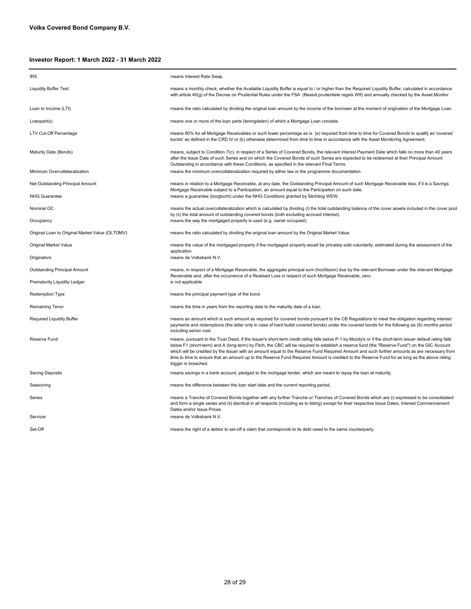| <b>IRS</b>                                      | means Interest Rate Swap.                                                                                                                                                                                                                                                                                                                                                                                                                                                                                                                                                                                                         |
|-------------------------------------------------|-----------------------------------------------------------------------------------------------------------------------------------------------------------------------------------------------------------------------------------------------------------------------------------------------------------------------------------------------------------------------------------------------------------------------------------------------------------------------------------------------------------------------------------------------------------------------------------------------------------------------------------|
| <b>Liquidity Buffer Test</b>                    | means a monthly check, whether the Available Liquidity Buffer is equal to / or higher than the Required Liquidity Buffer, calculated in accordance<br>with article 40(g) of the Decree on Prudential Rules under the FSA (Besluit prudentiele regels Wft) and annually checked by the Asset Monitor.                                                                                                                                                                                                                                                                                                                              |
| Loan to Income (LTI)                            | means the ratio calculated by dividing the original loan amount by the income of the borrower at the moment of origination of the Mortgage Loan.                                                                                                                                                                                                                                                                                                                                                                                                                                                                                  |
| Loanpart(s)                                     | means one or more of the loan parts (leningdelen) of which a Mortgage Loan consists.                                                                                                                                                                                                                                                                                                                                                                                                                                                                                                                                              |
| LTV Cut-Off Percentage                          | means 80% for all Mortgage Receivables or such lower percentage as is (a) required from time to time for Covered Bonds to qualify as 'covered<br>bonds' as defined in the CRD IV or (b) otherwise determined from time to time in accordance with the Asset Monitoring Agreement.                                                                                                                                                                                                                                                                                                                                                 |
| Maturity Date (Bonds)                           | means, subject to Condition 7(c), in respect of a Series of Covered Bonds, the relevant Interest Payment Date which falls no more than 40 years<br>after the Issue Date of such Series and on which the Covered Bonds of such Series are expected to be redeemed at their Principal Amount<br>Outstanding in accordance with these Conditions, as specified in the relevant Final Terms.                                                                                                                                                                                                                                          |
| Minimum Overcollateralization                   | means the minimum overcollateralization required by either law or the programme documentation.                                                                                                                                                                                                                                                                                                                                                                                                                                                                                                                                    |
| Net Outstanding Principal Amount                | means in relation to a Mortgage Receivable, at any date, the Outstanding Principal Amount of such Mortgage Receivable less, if it is a Savings<br>Mortgage Receivable subject to a Participation, an amount equal to the Participation on such date.                                                                                                                                                                                                                                                                                                                                                                              |
| <b>NHG Guarantee</b>                            | means a guarantee (borgtocht) under the NHG Conditions granted by Stichting WEW.                                                                                                                                                                                                                                                                                                                                                                                                                                                                                                                                                  |
| Nominal OC                                      | means the actual overcollateralization which is calculated by dividing (i) the total outstanding balance of the cover assets included in the cover pool<br>by (ii) the total amount of outstanding covered bonds (both excluding accrued interest).                                                                                                                                                                                                                                                                                                                                                                               |
| Occupancy                                       | means the way the mortgaged property is used (e.g. owner occupied).                                                                                                                                                                                                                                                                                                                                                                                                                                                                                                                                                               |
| Original Loan to Original Market Value (OLTOMV) | means the ratio calculated by dividing the original loan amount by the Original Market Value.                                                                                                                                                                                                                                                                                                                                                                                                                                                                                                                                     |
| Original Market Value                           | means the value of the mortgaged property if the mortgaged property would be privately sold voluntarily, estimated during the assessment of the<br>application.                                                                                                                                                                                                                                                                                                                                                                                                                                                                   |
| Originators                                     | means de Volksbank N.V.                                                                                                                                                                                                                                                                                                                                                                                                                                                                                                                                                                                                           |
| Outstanding Principal Amount                    | means, in respect of a Mortgage Receivable, the aggregate principal sum (hoofdsom) due by the relevant Borrower under the relevant Mortgage<br>Receivable and, after the occurrence of a Realised Loss in respect of such Mortgage Receivable, zero.                                                                                                                                                                                                                                                                                                                                                                              |
| Prematurity Liquidity Ledger                    | is not applicable                                                                                                                                                                                                                                                                                                                                                                                                                                                                                                                                                                                                                 |
| Redemption Type                                 | means the principal payment type of the bond                                                                                                                                                                                                                                                                                                                                                                                                                                                                                                                                                                                      |
| <b>Remaining Tenor</b>                          | means the time in years from the reporting date to the maturity date of a loan.                                                                                                                                                                                                                                                                                                                                                                                                                                                                                                                                                   |
| Required Liquidity Buffer                       | means an amount which is such amount as required for covered bonds pursuant to the CB Regulations to meet the obligation regarding interest<br>payments and redemptions (the latter only in case of hard bullet covered bonds) under the covered bonds for the following six (6) months period<br>including senior cost.                                                                                                                                                                                                                                                                                                          |
| Reserve Fund                                    | means, pursuant to the Trust Deed, if the Issuer's short-term credit rating falls below P-1 by Moody's or if the short-term issuer default rating falls<br>below F1 (short-term) and A (long-term) by Fitch, the CBC will be required to establish a reserve fund (the "Reserve Fund") on the GIC Account<br>which will be credited by the Issuer with an amount equal to the Reserve Fund Required Amount and such further amounts as are necessary from<br>time to time to ensure that an amount up to the Reserve Fund Required Amount is credited to the Reserve Fund for as long as the above rating<br>trigger is breached. |
| <b>Saving Deposits</b>                          | means savings in a bank account, pledged to the mortgage lender, which are meant to repay the loan at maturity.                                                                                                                                                                                                                                                                                                                                                                                                                                                                                                                   |
| Seasoning                                       | means the difference between the loan start date and the current reporting period.                                                                                                                                                                                                                                                                                                                                                                                                                                                                                                                                                |
| Series                                          | means a Tranche of Covered Bonds together with any further Tranche or Tranches of Covered Bonds which are (i) expressed to be consolidated<br>and form a single series and (ii) identical in all respects (including as to listing) except for their respective Issue Dates, Interest Commencement<br>Dates and/or Issue Prices.                                                                                                                                                                                                                                                                                                  |
| Servicer                                        | means de Volksbank N.V.                                                                                                                                                                                                                                                                                                                                                                                                                                                                                                                                                                                                           |
| Set-Off                                         | means the right of a debtor to set-off a claim that corresponds to its debt owed to the same counterparty.                                                                                                                                                                                                                                                                                                                                                                                                                                                                                                                        |